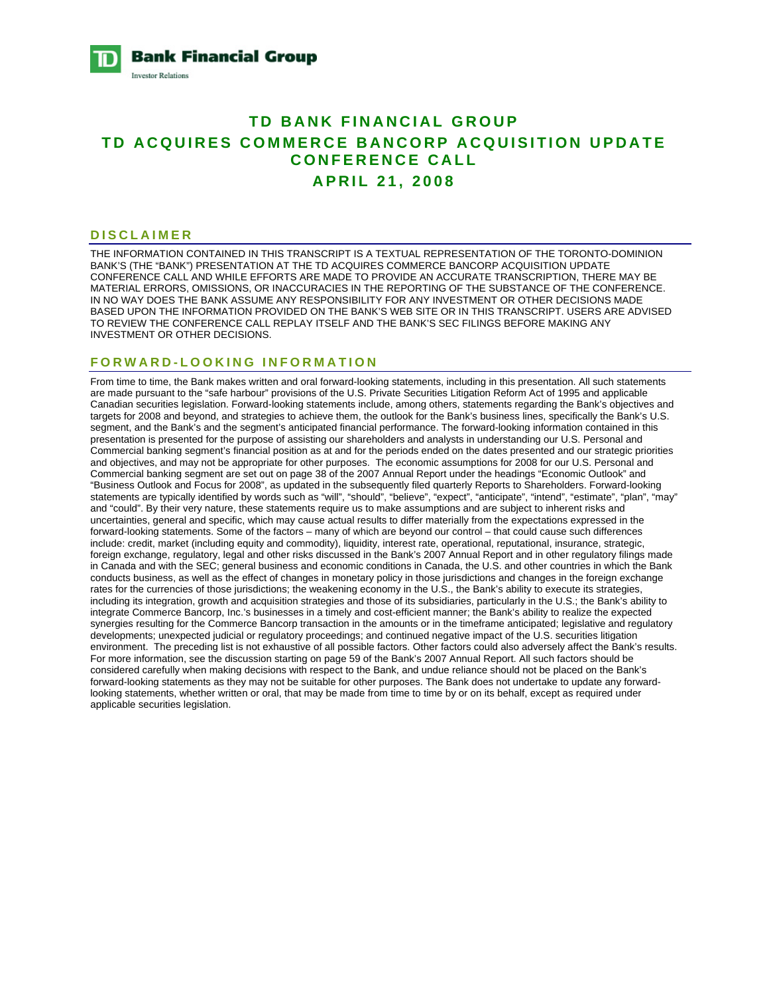

# **TD BANK FINANCIAL GROUP TD ACQUIRES COMMERCE BANCORP ACQUISITION UPDATE CONFERENCE CALL APRIL 21, 2008**

### **DISCLAIMER**

THE INFORMATION CONTAINED IN THIS TRANSCRIPT IS A TEXTUAL REPRESENTATION OF THE TORONTO-DOMINION BANK'S (THE "BANK") PRESENTATION AT THE TD ACQUIRES COMMERCE BANCORP ACQUISITION UPDATE CONFERENCE CALL AND WHILE EFFORTS ARE MADE TO PROVIDE AN ACCURATE TRANSCRIPTION, THERE MAY BE MATERIAL ERRORS, OMISSIONS, OR INACCURACIES IN THE REPORTING OF THE SUBSTANCE OF THE CONFERENCE. IN NO WAY DOES THE BANK ASSUME ANY RESPONSIBILITY FOR ANY INVESTMENT OR OTHER DECISIONS MADE BASED UPON THE INFORMATION PROVIDED ON THE BANK'S WEB SITE OR IN THIS TRANSCRIPT. USERS ARE ADVISED TO REVIEW THE CONFERENCE CALL REPLAY ITSELF AND THE BANK'S SEC FILINGS BEFORE MAKING ANY INVESTMENT OR OTHER DECISIONS.

# **FORWARD-LOOKING INFORMATION**

From time to time, the Bank makes written and oral forward-looking statements, including in this presentation. All such statements are made pursuant to the "safe harbour" provisions of the U.S. Private Securities Litigation Reform Act of 1995 and applicable Canadian securities legislation. Forward-looking statements include, among others, statements regarding the Bank's objectives and targets for 2008 and beyond, and strategies to achieve them, the outlook for the Bank's business lines, specifically the Bank's U.S. segment, and the Bank's and the segment's anticipated financial performance. The forward-looking information contained in this presentation is presented for the purpose of assisting our shareholders and analysts in understanding our U.S. Personal and Commercial banking segment's financial position as at and for the periods ended on the dates presented and our strategic priorities and objectives, and may not be appropriate for other purposes. The economic assumptions for 2008 for our U.S. Personal and Commercial banking segment are set out on page 38 of the 2007 Annual Report under the headings "Economic Outlook" and "Business Outlook and Focus for 2008", as updated in the subsequently filed quarterly Reports to Shareholders. Forward-looking statements are typically identified by words such as "will", "should", "believe", "expect", "anticipate", "intend", "estimate", "plan", "may" and "could". By their very nature, these statements require us to make assumptions and are subject to inherent risks and uncertainties, general and specific, which may cause actual results to differ materially from the expectations expressed in the forward-looking statements. Some of the factors – many of which are beyond our control – that could cause such differences include: credit, market (including equity and commodity), liquidity, interest rate, operational, reputational, insurance, strategic, foreign exchange, regulatory, legal and other risks discussed in the Bank's 2007 Annual Report and in other regulatory filings made in Canada and with the SEC; general business and economic conditions in Canada, the U.S. and other countries in which the Bank conducts business, as well as the effect of changes in monetary policy in those jurisdictions and changes in the foreign exchange rates for the currencies of those jurisdictions; the weakening economy in the U.S., the Bank's ability to execute its strategies, including its integration, growth and acquisition strategies and those of its subsidiaries, particularly in the U.S.; the Bank's ability to integrate Commerce Bancorp, Inc.'s businesses in a timely and cost-efficient manner; the Bank's ability to realize the expected synergies resulting for the Commerce Bancorp transaction in the amounts or in the timeframe anticipated; legislative and regulatory developments; unexpected judicial or regulatory proceedings; and continued negative impact of the U.S. securities litigation environment. The preceding list is not exhaustive of all possible factors. Other factors could also adversely affect the Bank's results. For more information, see the discussion starting on page 59 of the Bank's 2007 Annual Report. All such factors should be considered carefully when making decisions with respect to the Bank, and undue reliance should not be placed on the Bank's forward-looking statements as they may not be suitable for other purposes. The Bank does not undertake to update any forwardlooking statements, whether written or oral, that may be made from time to time by or on its behalf, except as required under applicable securities legislation.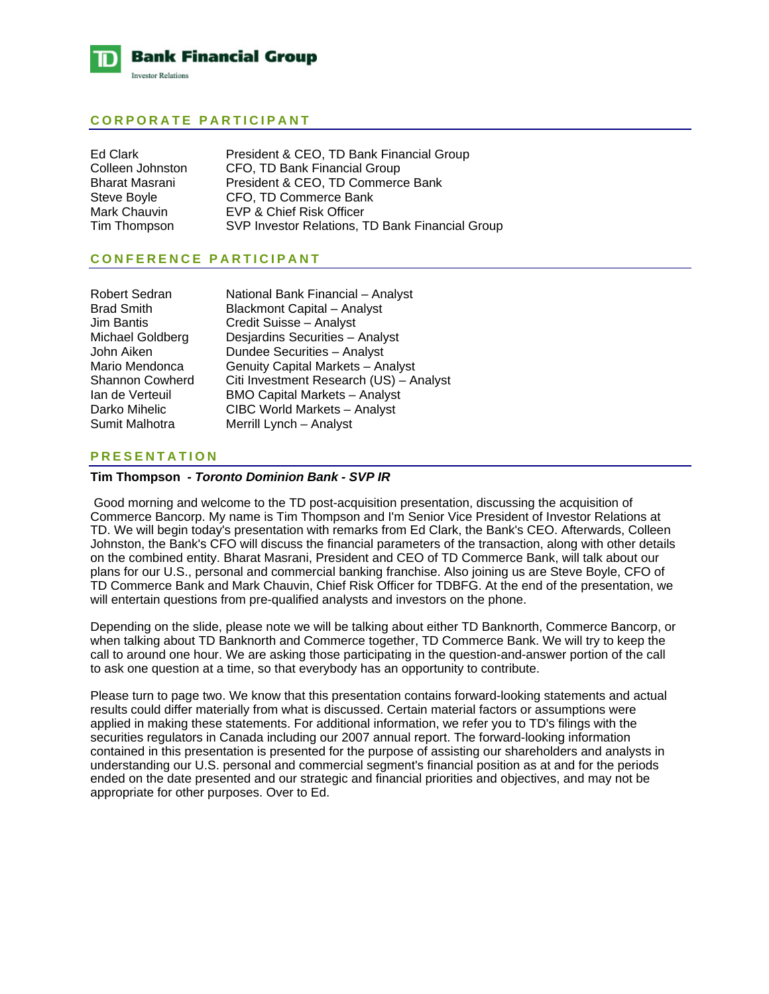

# **CORPORATE PARTICIPANT**

| Ed Clark         | President & CEO, TD Bank Financial Group        |
|------------------|-------------------------------------------------|
| Colleen Johnston | CFO, TD Bank Financial Group                    |
| Bharat Masrani   | President & CEO, TD Commerce Bank               |
| Steve Boyle      | CFO, TD Commerce Bank                           |
| Mark Chauvin     | EVP & Chief Risk Officer                        |
| Tim Thompson     | SVP Investor Relations, TD Bank Financial Group |

# **CONFERENCE PARTICIPANT**

| Robert Sedran     | National Bank Financial - Analyst       |
|-------------------|-----------------------------------------|
| <b>Brad Smith</b> | <b>Blackmont Capital - Analyst</b>      |
| Jim Bantis        | Credit Suisse - Analyst                 |
| Michael Goldberg  | Desjardins Securities - Analyst         |
| John Aiken        | Dundee Securities - Analyst             |
| Mario Mendonca    | Genuity Capital Markets - Analyst       |
| Shannon Cowherd   | Citi Investment Research (US) - Analyst |
| Ian de Verteuil   | <b>BMO Capital Markets - Analyst</b>    |
| Darko Mihelic     | CIBC World Markets - Analyst            |
| Sumit Malhotra    | Merrill Lynch - Analyst                 |

# **PRESENTATION**

# **Tim Thompson** *- Toronto Dominion Bank - SVP IR*

 Good morning and welcome to the TD post-acquisition presentation, discussing the acquisition of Commerce Bancorp. My name is Tim Thompson and I'm Senior Vice President of Investor Relations at TD. We will begin today's presentation with remarks from Ed Clark, the Bank's CEO. Afterwards, Colleen Johnston, the Bank's CFO will discuss the financial parameters of the transaction, along with other details on the combined entity. Bharat Masrani, President and CEO of TD Commerce Bank, will talk about our plans for our U.S., personal and commercial banking franchise. Also joining us are Steve Boyle, CFO of TD Commerce Bank and Mark Chauvin, Chief Risk Officer for TDBFG. At the end of the presentation, we will entertain questions from pre-qualified analysts and investors on the phone.

Depending on the slide, please note we will be talking about either TD Banknorth, Commerce Bancorp, or when talking about TD Banknorth and Commerce together, TD Commerce Bank. We will try to keep the call to around one hour. We are asking those participating in the question-and-answer portion of the call to ask one question at a time, so that everybody has an opportunity to contribute.

Please turn to page two. We know that this presentation contains forward-looking statements and actual results could differ materially from what is discussed. Certain material factors or assumptions were applied in making these statements. For additional information, we refer you to TD's filings with the securities regulators in Canada including our 2007 annual report. The forward-looking information contained in this presentation is presented for the purpose of assisting our shareholders and analysts in understanding our U.S. personal and commercial segment's financial position as at and for the periods ended on the date presented and our strategic and financial priorities and objectives, and may not be appropriate for other purposes. Over to Ed.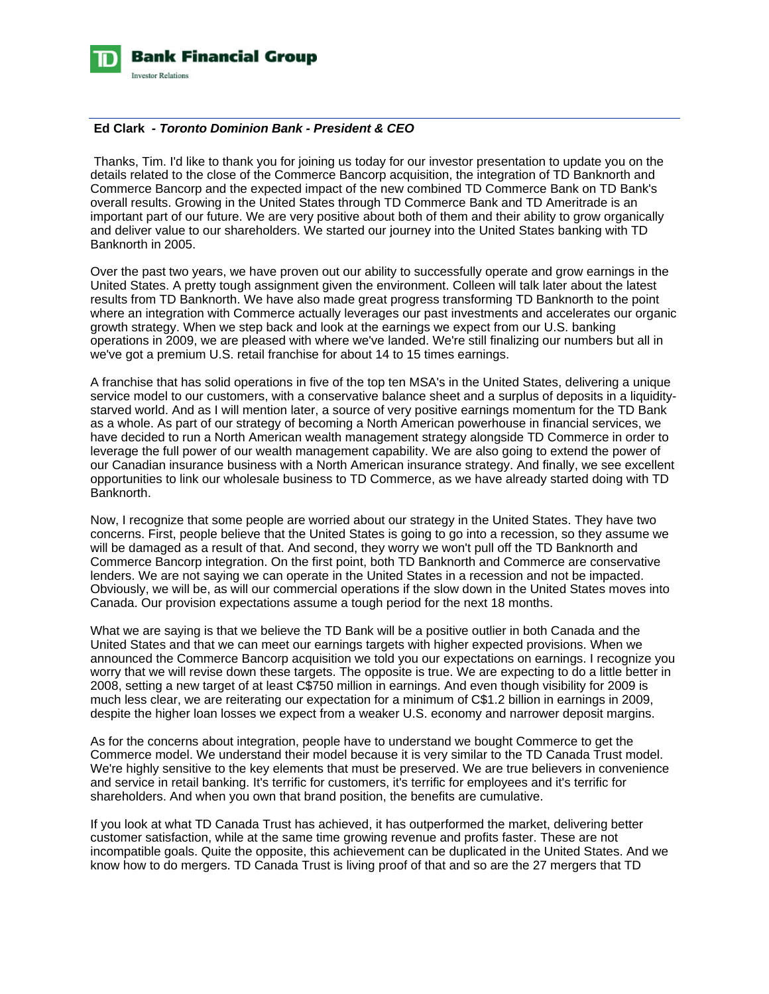

# **Ed Clark** *- Toronto Dominion Bank - President & CEO*

 Thanks, Tim. I'd like to thank you for joining us today for our investor presentation to update you on the details related to the close of the Commerce Bancorp acquisition, the integration of TD Banknorth and Commerce Bancorp and the expected impact of the new combined TD Commerce Bank on TD Bank's overall results. Growing in the United States through TD Commerce Bank and TD Ameritrade is an important part of our future. We are very positive about both of them and their ability to grow organically and deliver value to our shareholders. We started our journey into the United States banking with TD Banknorth in 2005.

Over the past two years, we have proven out our ability to successfully operate and grow earnings in the United States. A pretty tough assignment given the environment. Colleen will talk later about the latest results from TD Banknorth. We have also made great progress transforming TD Banknorth to the point where an integration with Commerce actually leverages our past investments and accelerates our organic growth strategy. When we step back and look at the earnings we expect from our U.S. banking operations in 2009, we are pleased with where we've landed. We're still finalizing our numbers but all in we've got a premium U.S. retail franchise for about 14 to 15 times earnings.

A franchise that has solid operations in five of the top ten MSA's in the United States, delivering a unique service model to our customers, with a conservative balance sheet and a surplus of deposits in a liquiditystarved world. And as I will mention later, a source of very positive earnings momentum for the TD Bank as a whole. As part of our strategy of becoming a North American powerhouse in financial services, we have decided to run a North American wealth management strategy alongside TD Commerce in order to leverage the full power of our wealth management capability. We are also going to extend the power of our Canadian insurance business with a North American insurance strategy. And finally, we see excellent opportunities to link our wholesale business to TD Commerce, as we have already started doing with TD Banknorth.

Now, I recognize that some people are worried about our strategy in the United States. They have two concerns. First, people believe that the United States is going to go into a recession, so they assume we will be damaged as a result of that. And second, they worry we won't pull off the TD Banknorth and Commerce Bancorp integration. On the first point, both TD Banknorth and Commerce are conservative lenders. We are not saying we can operate in the United States in a recession and not be impacted. Obviously, we will be, as will our commercial operations if the slow down in the United States moves into Canada. Our provision expectations assume a tough period for the next 18 months.

What we are saying is that we believe the TD Bank will be a positive outlier in both Canada and the United States and that we can meet our earnings targets with higher expected provisions. When we announced the Commerce Bancorp acquisition we told you our expectations on earnings. I recognize you worry that we will revise down these targets. The opposite is true. We are expecting to do a little better in 2008, setting a new target of at least C\$750 million in earnings. And even though visibility for 2009 is much less clear, we are reiterating our expectation for a minimum of C\$1.2 billion in earnings in 2009, despite the higher loan losses we expect from a weaker U.S. economy and narrower deposit margins.

As for the concerns about integration, people have to understand we bought Commerce to get the Commerce model. We understand their model because it is very similar to the TD Canada Trust model. We're highly sensitive to the key elements that must be preserved. We are true believers in convenience and service in retail banking. It's terrific for customers, it's terrific for employees and it's terrific for shareholders. And when you own that brand position, the benefits are cumulative.

If you look at what TD Canada Trust has achieved, it has outperformed the market, delivering better customer satisfaction, while at the same time growing revenue and profits faster. These are not incompatible goals. Quite the opposite, this achievement can be duplicated in the United States. And we know how to do mergers. TD Canada Trust is living proof of that and so are the 27 mergers that TD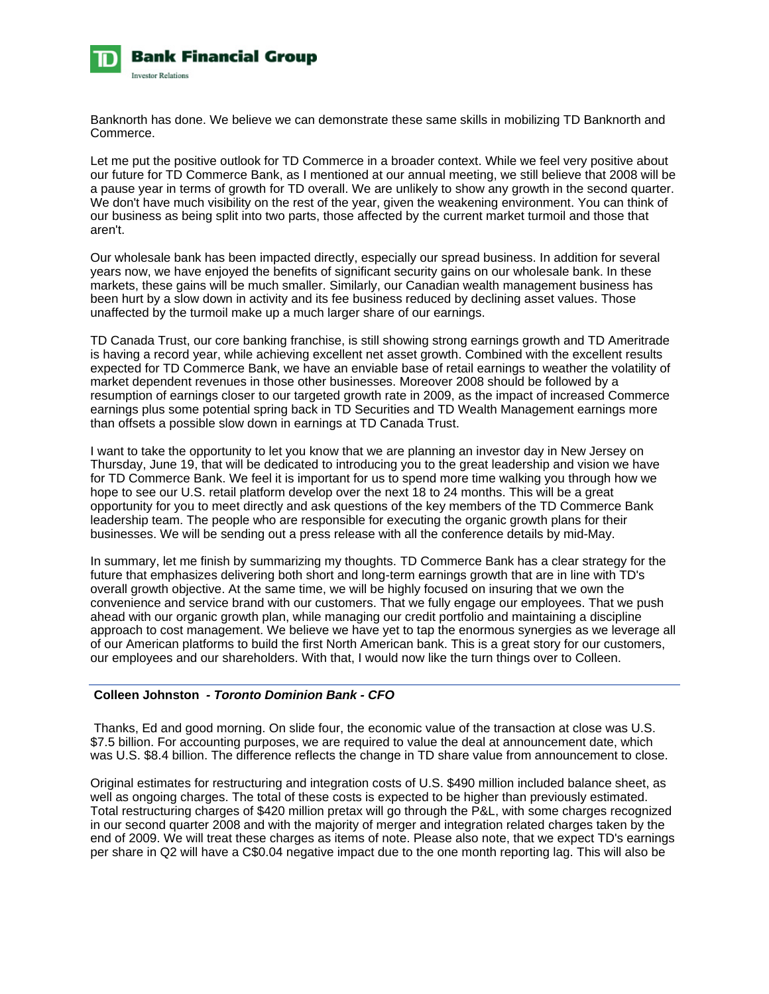

Banknorth has done. We believe we can demonstrate these same skills in mobilizing TD Banknorth and Commerce.

Let me put the positive outlook for TD Commerce in a broader context. While we feel very positive about our future for TD Commerce Bank, as I mentioned at our annual meeting, we still believe that 2008 will be a pause year in terms of growth for TD overall. We are unlikely to show any growth in the second quarter. We don't have much visibility on the rest of the year, given the weakening environment. You can think of our business as being split into two parts, those affected by the current market turmoil and those that aren't.

Our wholesale bank has been impacted directly, especially our spread business. In addition for several years now, we have enjoyed the benefits of significant security gains on our wholesale bank. In these markets, these gains will be much smaller. Similarly, our Canadian wealth management business has been hurt by a slow down in activity and its fee business reduced by declining asset values. Those unaffected by the turmoil make up a much larger share of our earnings.

TD Canada Trust, our core banking franchise, is still showing strong earnings growth and TD Ameritrade is having a record year, while achieving excellent net asset growth. Combined with the excellent results expected for TD Commerce Bank, we have an enviable base of retail earnings to weather the volatility of market dependent revenues in those other businesses. Moreover 2008 should be followed by a resumption of earnings closer to our targeted growth rate in 2009, as the impact of increased Commerce earnings plus some potential spring back in TD Securities and TD Wealth Management earnings more than offsets a possible slow down in earnings at TD Canada Trust.

I want to take the opportunity to let you know that we are planning an investor day in New Jersey on Thursday, June 19, that will be dedicated to introducing you to the great leadership and vision we have for TD Commerce Bank. We feel it is important for us to spend more time walking you through how we hope to see our U.S. retail platform develop over the next 18 to 24 months. This will be a great opportunity for you to meet directly and ask questions of the key members of the TD Commerce Bank leadership team. The people who are responsible for executing the organic growth plans for their businesses. We will be sending out a press release with all the conference details by mid-May.

In summary, let me finish by summarizing my thoughts. TD Commerce Bank has a clear strategy for the future that emphasizes delivering both short and long-term earnings growth that are in line with TD's overall growth objective. At the same time, we will be highly focused on insuring that we own the convenience and service brand with our customers. That we fully engage our employees. That we push ahead with our organic growth plan, while managing our credit portfolio and maintaining a discipline approach to cost management. We believe we have yet to tap the enormous synergies as we leverage all of our American platforms to build the first North American bank. This is a great story for our customers, our employees and our shareholders. With that, I would now like the turn things over to Colleen.

# **Colleen Johnston** *- Toronto Dominion Bank - CFO*

 Thanks, Ed and good morning. On slide four, the economic value of the transaction at close was U.S. \$7.5 billion. For accounting purposes, we are required to value the deal at announcement date, which was U.S. \$8.4 billion. The difference reflects the change in TD share value from announcement to close.

Original estimates for restructuring and integration costs of U.S. \$490 million included balance sheet, as well as ongoing charges. The total of these costs is expected to be higher than previously estimated. Total restructuring charges of \$420 million pretax will go through the P&L, with some charges recognized in our second quarter 2008 and with the majority of merger and integration related charges taken by the end of 2009. We will treat these charges as items of note. Please also note, that we expect TD's earnings per share in Q2 will have a C\$0.04 negative impact due to the one month reporting lag. This will also be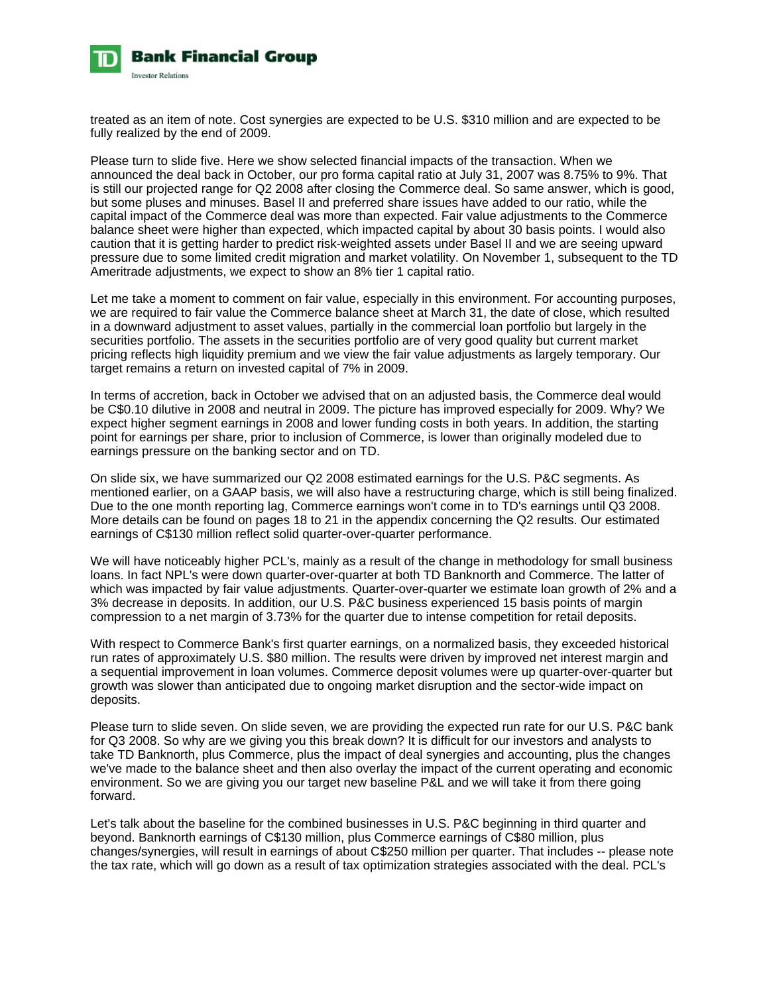

treated as an item of note. Cost synergies are expected to be U.S. \$310 million and are expected to be fully realized by the end of 2009.

Please turn to slide five. Here we show selected financial impacts of the transaction. When we announced the deal back in October, our pro forma capital ratio at July 31, 2007 was 8.75% to 9%. That is still our projected range for Q2 2008 after closing the Commerce deal. So same answer, which is good, but some pluses and minuses. Basel II and preferred share issues have added to our ratio, while the capital impact of the Commerce deal was more than expected. Fair value adjustments to the Commerce balance sheet were higher than expected, which impacted capital by about 30 basis points. I would also caution that it is getting harder to predict risk-weighted assets under Basel II and we are seeing upward pressure due to some limited credit migration and market volatility. On November 1, subsequent to the TD Ameritrade adjustments, we expect to show an 8% tier 1 capital ratio.

Let me take a moment to comment on fair value, especially in this environment. For accounting purposes, we are required to fair value the Commerce balance sheet at March 31, the date of close, which resulted in a downward adjustment to asset values, partially in the commercial loan portfolio but largely in the securities portfolio. The assets in the securities portfolio are of very good quality but current market pricing reflects high liquidity premium and we view the fair value adjustments as largely temporary. Our target remains a return on invested capital of 7% in 2009.

In terms of accretion, back in October we advised that on an adjusted basis, the Commerce deal would be C\$0.10 dilutive in 2008 and neutral in 2009. The picture has improved especially for 2009. Why? We expect higher segment earnings in 2008 and lower funding costs in both years. In addition, the starting point for earnings per share, prior to inclusion of Commerce, is lower than originally modeled due to earnings pressure on the banking sector and on TD.

On slide six, we have summarized our Q2 2008 estimated earnings for the U.S. P&C segments. As mentioned earlier, on a GAAP basis, we will also have a restructuring charge, which is still being finalized. Due to the one month reporting lag, Commerce earnings won't come in to TD's earnings until Q3 2008. More details can be found on pages 18 to 21 in the appendix concerning the Q2 results. Our estimated earnings of C\$130 million reflect solid quarter-over-quarter performance.

We will have noticeably higher PCL's, mainly as a result of the change in methodology for small business loans. In fact NPL's were down quarter-over-quarter at both TD Banknorth and Commerce. The latter of which was impacted by fair value adjustments. Quarter-over-quarter we estimate loan growth of 2% and a 3% decrease in deposits. In addition, our U.S. P&C business experienced 15 basis points of margin compression to a net margin of 3.73% for the quarter due to intense competition for retail deposits.

With respect to Commerce Bank's first quarter earnings, on a normalized basis, they exceeded historical run rates of approximately U.S. \$80 million. The results were driven by improved net interest margin and a sequential improvement in loan volumes. Commerce deposit volumes were up quarter-over-quarter but growth was slower than anticipated due to ongoing market disruption and the sector-wide impact on deposits.

Please turn to slide seven. On slide seven, we are providing the expected run rate for our U.S. P&C bank for Q3 2008. So why are we giving you this break down? It is difficult for our investors and analysts to take TD Banknorth, plus Commerce, plus the impact of deal synergies and accounting, plus the changes we've made to the balance sheet and then also overlay the impact of the current operating and economic environment. So we are giving you our target new baseline P&L and we will take it from there going forward.

Let's talk about the baseline for the combined businesses in U.S. P&C beginning in third quarter and beyond. Banknorth earnings of C\$130 million, plus Commerce earnings of C\$80 million, plus changes/synergies, will result in earnings of about C\$250 million per quarter. That includes -- please note the tax rate, which will go down as a result of tax optimization strategies associated with the deal. PCL's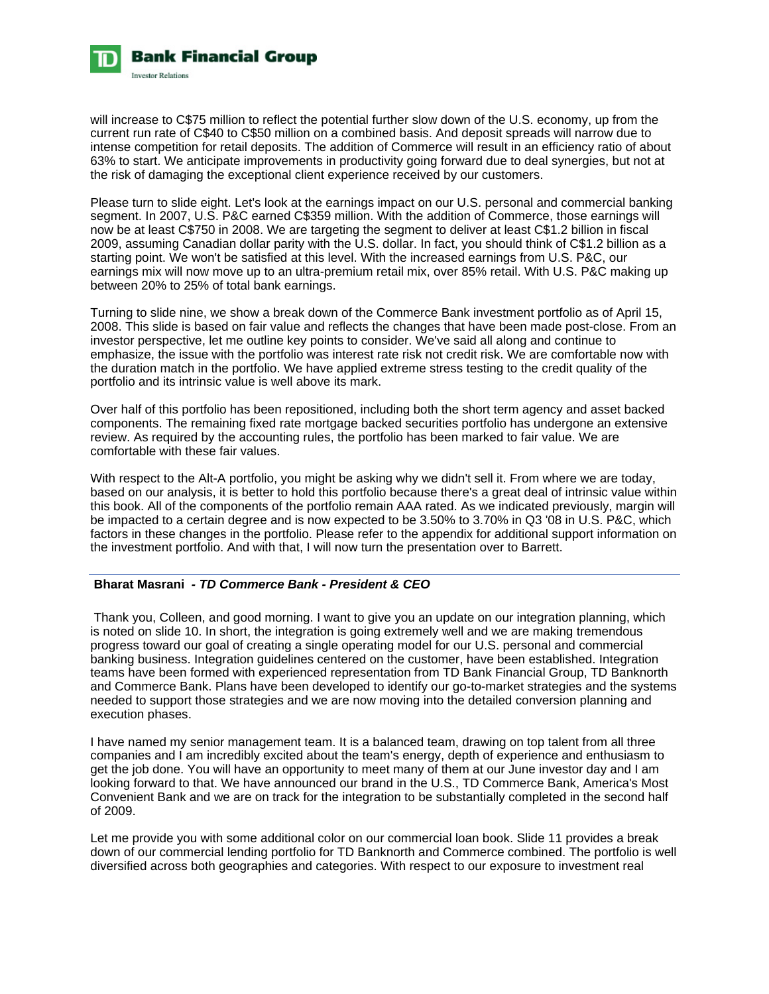

will increase to C\$75 million to reflect the potential further slow down of the U.S. economy, up from the current run rate of C\$40 to C\$50 million on a combined basis. And deposit spreads will narrow due to intense competition for retail deposits. The addition of Commerce will result in an efficiency ratio of about 63% to start. We anticipate improvements in productivity going forward due to deal synergies, but not at the risk of damaging the exceptional client experience received by our customers.

Please turn to slide eight. Let's look at the earnings impact on our U.S. personal and commercial banking segment. In 2007, U.S. P&C earned C\$359 million. With the addition of Commerce, those earnings will now be at least C\$750 in 2008. We are targeting the segment to deliver at least C\$1.2 billion in fiscal 2009, assuming Canadian dollar parity with the U.S. dollar. In fact, you should think of C\$1.2 billion as a starting point. We won't be satisfied at this level. With the increased earnings from U.S. P&C, our earnings mix will now move up to an ultra-premium retail mix, over 85% retail. With U.S. P&C making up between 20% to 25% of total bank earnings.

Turning to slide nine, we show a break down of the Commerce Bank investment portfolio as of April 15, 2008. This slide is based on fair value and reflects the changes that have been made post-close. From an investor perspective, let me outline key points to consider. We've said all along and continue to emphasize, the issue with the portfolio was interest rate risk not credit risk. We are comfortable now with the duration match in the portfolio. We have applied extreme stress testing to the credit quality of the portfolio and its intrinsic value is well above its mark.

Over half of this portfolio has been repositioned, including both the short term agency and asset backed components. The remaining fixed rate mortgage backed securities portfolio has undergone an extensive review. As required by the accounting rules, the portfolio has been marked to fair value. We are comfortable with these fair values.

With respect to the Alt-A portfolio, you might be asking why we didn't sell it. From where we are today, based on our analysis, it is better to hold this portfolio because there's a great deal of intrinsic value within this book. All of the components of the portfolio remain AAA rated. As we indicated previously, margin will be impacted to a certain degree and is now expected to be 3.50% to 3.70% in Q3 '08 in U.S. P&C, which factors in these changes in the portfolio. Please refer to the appendix for additional support information on the investment portfolio. And with that, I will now turn the presentation over to Barrett.

# **Bharat Masrani** *- TD Commerce Bank - President & CEO*

 Thank you, Colleen, and good morning. I want to give you an update on our integration planning, which is noted on slide 10. In short, the integration is going extremely well and we are making tremendous progress toward our goal of creating a single operating model for our U.S. personal and commercial banking business. Integration guidelines centered on the customer, have been established. Integration teams have been formed with experienced representation from TD Bank Financial Group, TD Banknorth and Commerce Bank. Plans have been developed to identify our go-to-market strategies and the systems needed to support those strategies and we are now moving into the detailed conversion planning and execution phases.

I have named my senior management team. It is a balanced team, drawing on top talent from all three companies and I am incredibly excited about the team's energy, depth of experience and enthusiasm to get the job done. You will have an opportunity to meet many of them at our June investor day and I am looking forward to that. We have announced our brand in the U.S., TD Commerce Bank, America's Most Convenient Bank and we are on track for the integration to be substantially completed in the second half of 2009.

Let me provide you with some additional color on our commercial loan book. Slide 11 provides a break down of our commercial lending portfolio for TD Banknorth and Commerce combined. The portfolio is well diversified across both geographies and categories. With respect to our exposure to investment real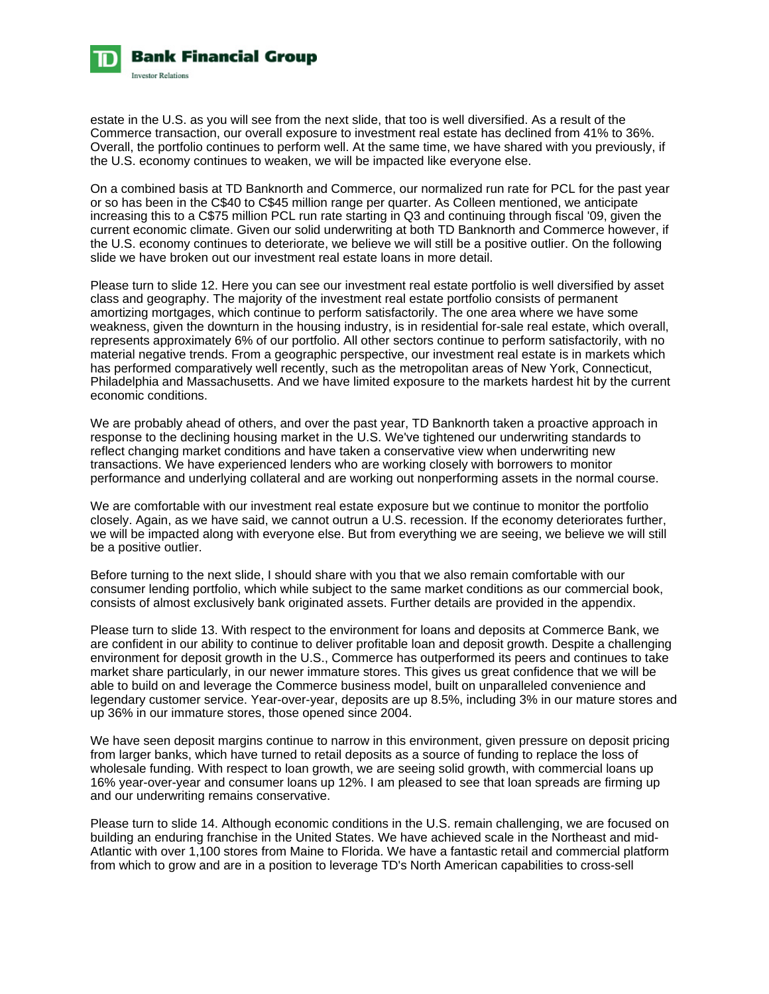

estate in the U.S. as you will see from the next slide, that too is well diversified. As a result of the Commerce transaction, our overall exposure to investment real estate has declined from 41% to 36%. Overall, the portfolio continues to perform well. At the same time, we have shared with you previously, if the U.S. economy continues to weaken, we will be impacted like everyone else.

On a combined basis at TD Banknorth and Commerce, our normalized run rate for PCL for the past year or so has been in the C\$40 to C\$45 million range per quarter. As Colleen mentioned, we anticipate increasing this to a C\$75 million PCL run rate starting in Q3 and continuing through fiscal '09, given the current economic climate. Given our solid underwriting at both TD Banknorth and Commerce however, if the U.S. economy continues to deteriorate, we believe we will still be a positive outlier. On the following slide we have broken out our investment real estate loans in more detail.

Please turn to slide 12. Here you can see our investment real estate portfolio is well diversified by asset class and geography. The majority of the investment real estate portfolio consists of permanent amortizing mortgages, which continue to perform satisfactorily. The one area where we have some weakness, given the downturn in the housing industry, is in residential for-sale real estate, which overall, represents approximately 6% of our portfolio. All other sectors continue to perform satisfactorily, with no material negative trends. From a geographic perspective, our investment real estate is in markets which has performed comparatively well recently, such as the metropolitan areas of New York, Connecticut, Philadelphia and Massachusetts. And we have limited exposure to the markets hardest hit by the current economic conditions.

We are probably ahead of others, and over the past year, TD Banknorth taken a proactive approach in response to the declining housing market in the U.S. We've tightened our underwriting standards to reflect changing market conditions and have taken a conservative view when underwriting new transactions. We have experienced lenders who are working closely with borrowers to monitor performance and underlying collateral and are working out nonperforming assets in the normal course.

We are comfortable with our investment real estate exposure but we continue to monitor the portfolio closely. Again, as we have said, we cannot outrun a U.S. recession. If the economy deteriorates further, we will be impacted along with everyone else. But from everything we are seeing, we believe we will still be a positive outlier.

Before turning to the next slide, I should share with you that we also remain comfortable with our consumer lending portfolio, which while subject to the same market conditions as our commercial book, consists of almost exclusively bank originated assets. Further details are provided in the appendix.

Please turn to slide 13. With respect to the environment for loans and deposits at Commerce Bank, we are confident in our ability to continue to deliver profitable loan and deposit growth. Despite a challenging environment for deposit growth in the U.S., Commerce has outperformed its peers and continues to take market share particularly, in our newer immature stores. This gives us great confidence that we will be able to build on and leverage the Commerce business model, built on unparalleled convenience and legendary customer service. Year-over-year, deposits are up 8.5%, including 3% in our mature stores and up 36% in our immature stores, those opened since 2004.

We have seen deposit margins continue to narrow in this environment, given pressure on deposit pricing from larger banks, which have turned to retail deposits as a source of funding to replace the loss of wholesale funding. With respect to loan growth, we are seeing solid growth, with commercial loans up 16% year-over-year and consumer loans up 12%. I am pleased to see that loan spreads are firming up and our underwriting remains conservative.

Please turn to slide 14. Although economic conditions in the U.S. remain challenging, we are focused on building an enduring franchise in the United States. We have achieved scale in the Northeast and mid-Atlantic with over 1,100 stores from Maine to Florida. We have a fantastic retail and commercial platform from which to grow and are in a position to leverage TD's North American capabilities to cross-sell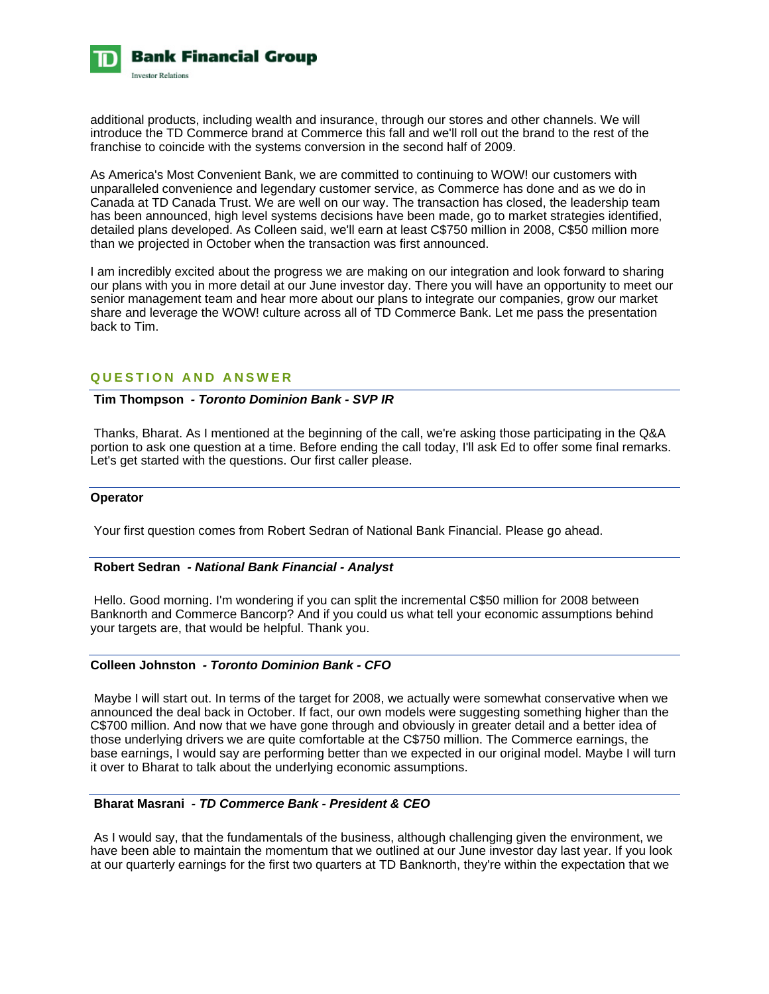

additional products, including wealth and insurance, through our stores and other channels. We will introduce the TD Commerce brand at Commerce this fall and we'll roll out the brand to the rest of the franchise to coincide with the systems conversion in the second half of 2009.

As America's Most Convenient Bank, we are committed to continuing to WOW! our customers with unparalleled convenience and legendary customer service, as Commerce has done and as we do in Canada at TD Canada Trust. We are well on our way. The transaction has closed, the leadership team has been announced, high level systems decisions have been made, go to market strategies identified, detailed plans developed. As Colleen said, we'll earn at least C\$750 million in 2008, C\$50 million more than we projected in October when the transaction was first announced.

I am incredibly excited about the progress we are making on our integration and look forward to sharing our plans with you in more detail at our June investor day. There you will have an opportunity to meet our senior management team and hear more about our plans to integrate our companies, grow our market share and leverage the WOW! culture across all of TD Commerce Bank. Let me pass the presentation back to Tim.

# **QUESTION AND ANSWER**

# **Tim Thompson** *- Toronto Dominion Bank - SVP IR*

 Thanks, Bharat. As I mentioned at the beginning of the call, we're asking those participating in the Q&A portion to ask one question at a time. Before ending the call today, I'll ask Ed to offer some final remarks. Let's get started with the questions. Our first caller please.

# **Operator**

Your first question comes from Robert Sedran of National Bank Financial. Please go ahead.

#### **Robert Sedran** *- National Bank Financial - Analyst*

 Hello. Good morning. I'm wondering if you can split the incremental C\$50 million for 2008 between Banknorth and Commerce Bancorp? And if you could us what tell your economic assumptions behind your targets are, that would be helpful. Thank you.

# **Colleen Johnston** *- Toronto Dominion Bank - CFO*

 Maybe I will start out. In terms of the target for 2008, we actually were somewhat conservative when we announced the deal back in October. If fact, our own models were suggesting something higher than the C\$700 million. And now that we have gone through and obviously in greater detail and a better idea of those underlying drivers we are quite comfortable at the C\$750 million. The Commerce earnings, the base earnings, I would say are performing better than we expected in our original model. Maybe I will turn it over to Bharat to talk about the underlying economic assumptions.

#### **Bharat Masrani** *- TD Commerce Bank - President & CEO*

 As I would say, that the fundamentals of the business, although challenging given the environment, we have been able to maintain the momentum that we outlined at our June investor day last year. If you look at our quarterly earnings for the first two quarters at TD Banknorth, they're within the expectation that we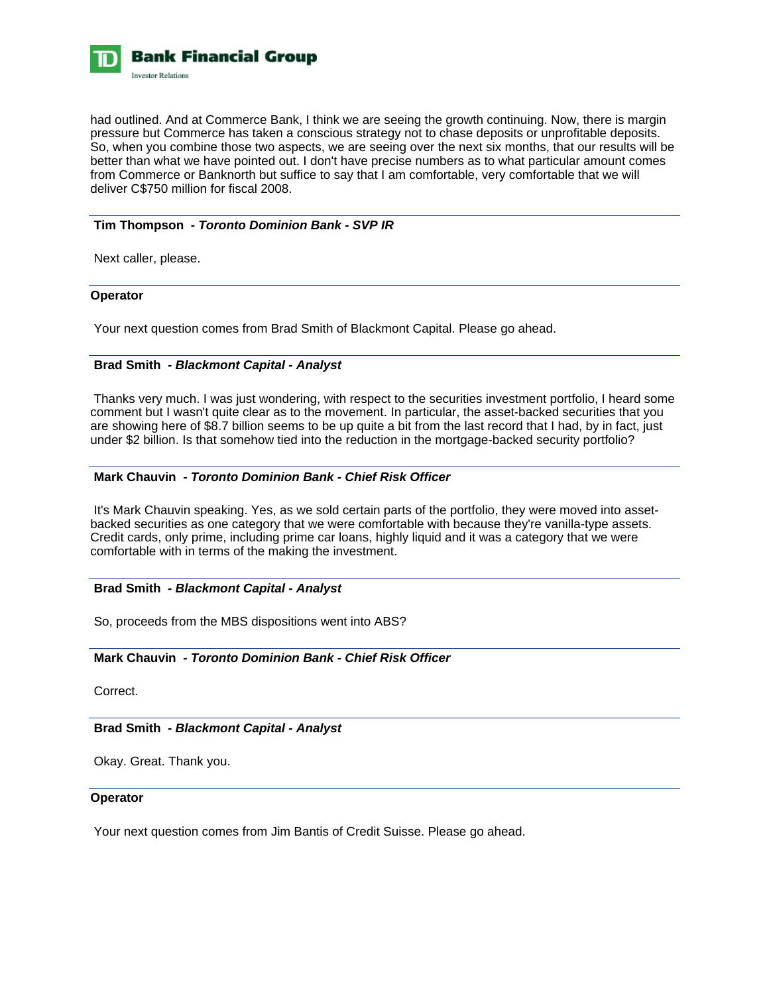

had outlined. And at Commerce Bank, I think we are seeing the growth continuing. Now, there is margin pressure but Commerce has taken a conscious strategy not to chase deposits or unprofitable deposits. So, when you combine those two aspects, we are seeing over the next six months, that our results will be better than what we have pointed out. I don't have precise numbers as to what particular amount comes from Commerce or Banknorth but suffice to say that I am comfortable, very comfortable that we will deliver C\$750 million for fiscal 2008.

# **Tim Thompson** *- Toronto Dominion Bank - SVP IR*

Next caller, please.

#### **Operator**

Your next question comes from Brad Smith of Blackmont Capital. Please go ahead.

# **Brad Smith** *- Blackmont Capital - Analyst*

 Thanks very much. I was just wondering, with respect to the securities investment portfolio, I heard some comment but I wasn't quite clear as to the movement. In particular, the asset-backed securities that you are showing here of \$8.7 billion seems to be up quite a bit from the last record that I had, by in fact, just under \$2 billion. Is that somehow tied into the reduction in the mortgage-backed security portfolio?

# **Mark Chauvin** *- Toronto Dominion Bank - Chief Risk Officer*

 It's Mark Chauvin speaking. Yes, as we sold certain parts of the portfolio, they were moved into assetbacked securities as one category that we were comfortable with because they're vanilla-type assets. Credit cards, only prime, including prime car loans, highly liquid and it was a category that we were comfortable with in terms of the making the investment.

### **Brad Smith** *- Blackmont Capital - Analyst*

So, proceeds from the MBS dispositions went into ABS?

#### **Mark Chauvin** *- Toronto Dominion Bank - Chief Risk Officer*

Correct.

# **Brad Smith** *- Blackmont Capital - Analyst*

Okay. Great. Thank you.

#### **Operator**

Your next question comes from Jim Bantis of Credit Suisse. Please go ahead.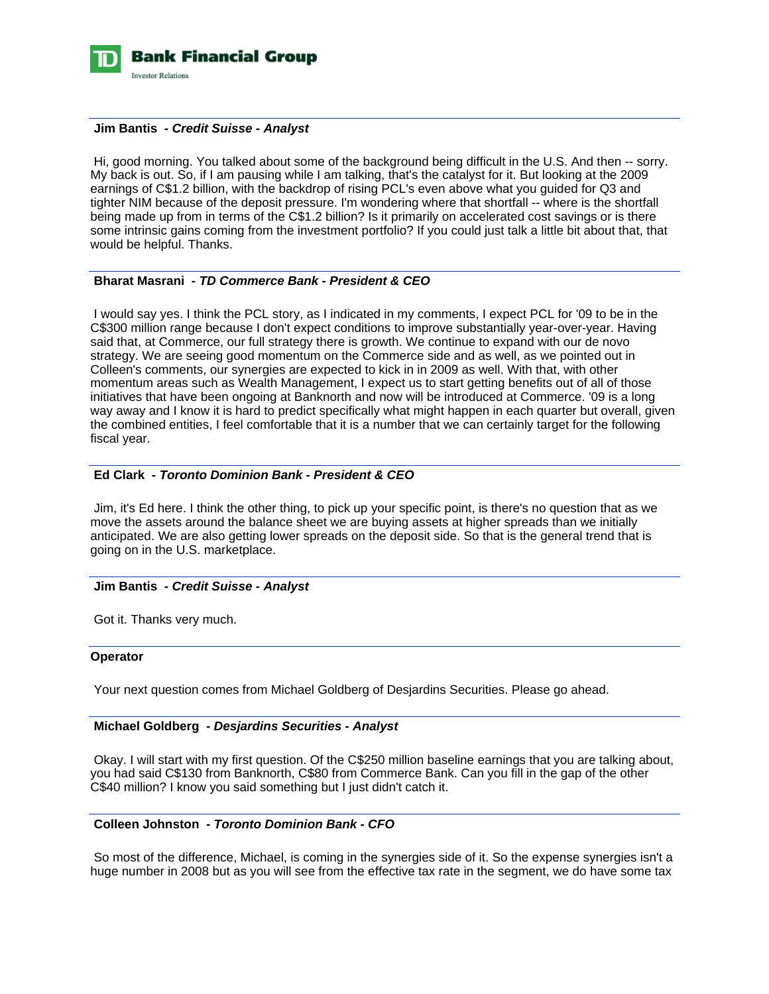

# **Jim Bantis** *- Credit Suisse - Analyst*

 Hi, good morning. You talked about some of the background being difficult in the U.S. And then -- sorry. My back is out. So, if I am pausing while I am talking, that's the catalyst for it. But looking at the 2009 earnings of C\$1.2 billion, with the backdrop of rising PCL's even above what you guided for Q3 and tighter NIM because of the deposit pressure. I'm wondering where that shortfall -- where is the shortfall being made up from in terms of the C\$1.2 billion? Is it primarily on accelerated cost savings or is there some intrinsic gains coming from the investment portfolio? If you could just talk a little bit about that, that would be helpful. Thanks.

#### **Bharat Masrani** *- TD Commerce Bank - President & CEO*

 I would say yes. I think the PCL story, as I indicated in my comments, I expect PCL for '09 to be in the C\$300 million range because I don't expect conditions to improve substantially year-over-year. Having said that, at Commerce, our full strategy there is growth. We continue to expand with our de novo strategy. We are seeing good momentum on the Commerce side and as well, as we pointed out in Colleen's comments, our synergies are expected to kick in in 2009 as well. With that, with other momentum areas such as Wealth Management, I expect us to start getting benefits out of all of those initiatives that have been ongoing at Banknorth and now will be introduced at Commerce. '09 is a long way away and I know it is hard to predict specifically what might happen in each quarter but overall, given the combined entities, I feel comfortable that it is a number that we can certainly target for the following fiscal year.

# **Ed Clark** *- Toronto Dominion Bank - President & CEO*

 Jim, it's Ed here. I think the other thing, to pick up your specific point, is there's no question that as we move the assets around the balance sheet we are buying assets at higher spreads than we initially anticipated. We are also getting lower spreads on the deposit side. So that is the general trend that is going on in the U.S. marketplace.

#### **Jim Bantis** *- Credit Suisse - Analyst*

Got it. Thanks very much.

# **Operator**

Your next question comes from Michael Goldberg of Desjardins Securities. Please go ahead.

#### **Michael Goldberg** *- Desjardins Securities - Analyst*

 Okay. I will start with my first question. Of the C\$250 million baseline earnings that you are talking about, you had said C\$130 from Banknorth, C\$80 from Commerce Bank. Can you fill in the gap of the other C\$40 million? I know you said something but I just didn't catch it.

# **Colleen Johnston** *- Toronto Dominion Bank - CFO*

 So most of the difference, Michael, is coming in the synergies side of it. So the expense synergies isn't a huge number in 2008 but as you will see from the effective tax rate in the segment, we do have some tax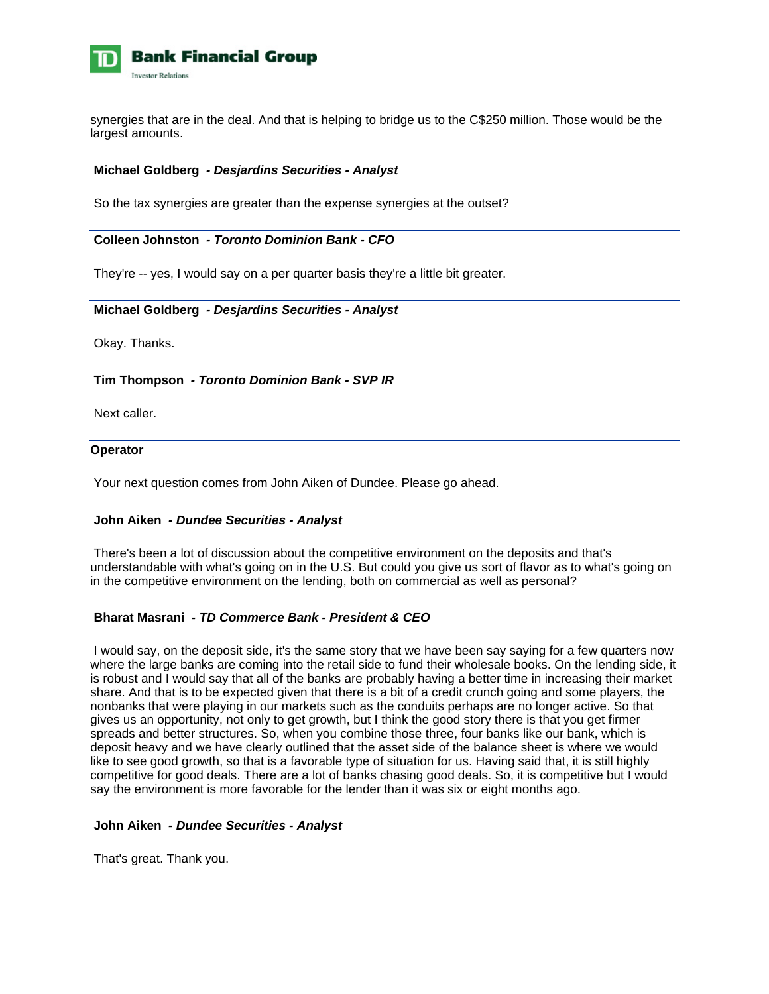

synergies that are in the deal. And that is helping to bridge us to the C\$250 million. Those would be the largest amounts.

# **Michael Goldberg** *- Desjardins Securities - Analyst*

So the tax synergies are greater than the expense synergies at the outset?

# **Colleen Johnston** *- Toronto Dominion Bank - CFO*

They're -- yes, I would say on a per quarter basis they're a little bit greater.

# **Michael Goldberg** *- Desjardins Securities - Analyst*

Okay. Thanks.

 **Tim Thompson** *- Toronto Dominion Bank - SVP IR* 

Next caller.

#### **Operator**

Your next question comes from John Aiken of Dundee. Please go ahead.

#### **John Aiken** *- Dundee Securities - Analyst*

 There's been a lot of discussion about the competitive environment on the deposits and that's understandable with what's going on in the U.S. But could you give us sort of flavor as to what's going on in the competitive environment on the lending, both on commercial as well as personal?

# **Bharat Masrani** *- TD Commerce Bank - President & CEO*

 I would say, on the deposit side, it's the same story that we have been say saying for a few quarters now where the large banks are coming into the retail side to fund their wholesale books. On the lending side, it is robust and I would say that all of the banks are probably having a better time in increasing their market share. And that is to be expected given that there is a bit of a credit crunch going and some players, the nonbanks that were playing in our markets such as the conduits perhaps are no longer active. So that gives us an opportunity, not only to get growth, but I think the good story there is that you get firmer spreads and better structures. So, when you combine those three, four banks like our bank, which is deposit heavy and we have clearly outlined that the asset side of the balance sheet is where we would like to see good growth, so that is a favorable type of situation for us. Having said that, it is still highly competitive for good deals. There are a lot of banks chasing good deals. So, it is competitive but I would say the environment is more favorable for the lender than it was six or eight months ago.

## **John Aiken** *- Dundee Securities - Analyst*

That's great. Thank you.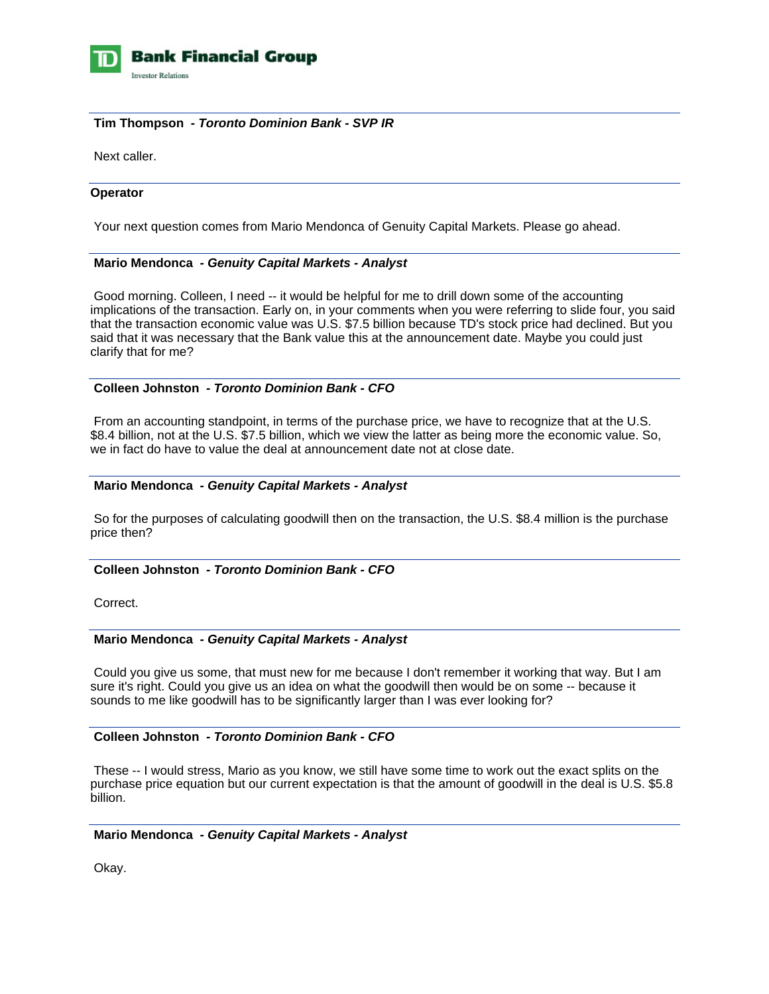

# **Tim Thompson** *- Toronto Dominion Bank - SVP IR*

Next caller.

# **Operator**

Your next question comes from Mario Mendonca of Genuity Capital Markets. Please go ahead.

# **Mario Mendonca** *- Genuity Capital Markets - Analyst*

 Good morning. Colleen, I need -- it would be helpful for me to drill down some of the accounting implications of the transaction. Early on, in your comments when you were referring to slide four, you said that the transaction economic value was U.S. \$7.5 billion because TD's stock price had declined. But you said that it was necessary that the Bank value this at the announcement date. Maybe you could just clarify that for me?

# **Colleen Johnston** *- Toronto Dominion Bank - CFO*

 From an accounting standpoint, in terms of the purchase price, we have to recognize that at the U.S. \$8.4 billion, not at the U.S. \$7.5 billion, which we view the latter as being more the economic value. So, we in fact do have to value the deal at announcement date not at close date.

# **Mario Mendonca** *- Genuity Capital Markets - Analyst*

 So for the purposes of calculating goodwill then on the transaction, the U.S. \$8.4 million is the purchase price then?

# **Colleen Johnston** *- Toronto Dominion Bank - CFO*

Correct.

#### **Mario Mendonca** *- Genuity Capital Markets - Analyst*

 Could you give us some, that must new for me because I don't remember it working that way. But I am sure it's right. Could you give us an idea on what the goodwill then would be on some -- because it sounds to me like goodwill has to be significantly larger than I was ever looking for?

# **Colleen Johnston** *- Toronto Dominion Bank - CFO*

 These -- I would stress, Mario as you know, we still have some time to work out the exact splits on the purchase price equation but our current expectation is that the amount of goodwill in the deal is U.S. \$5.8 billion.

# **Mario Mendonca** *- Genuity Capital Markets - Analyst*

Okay.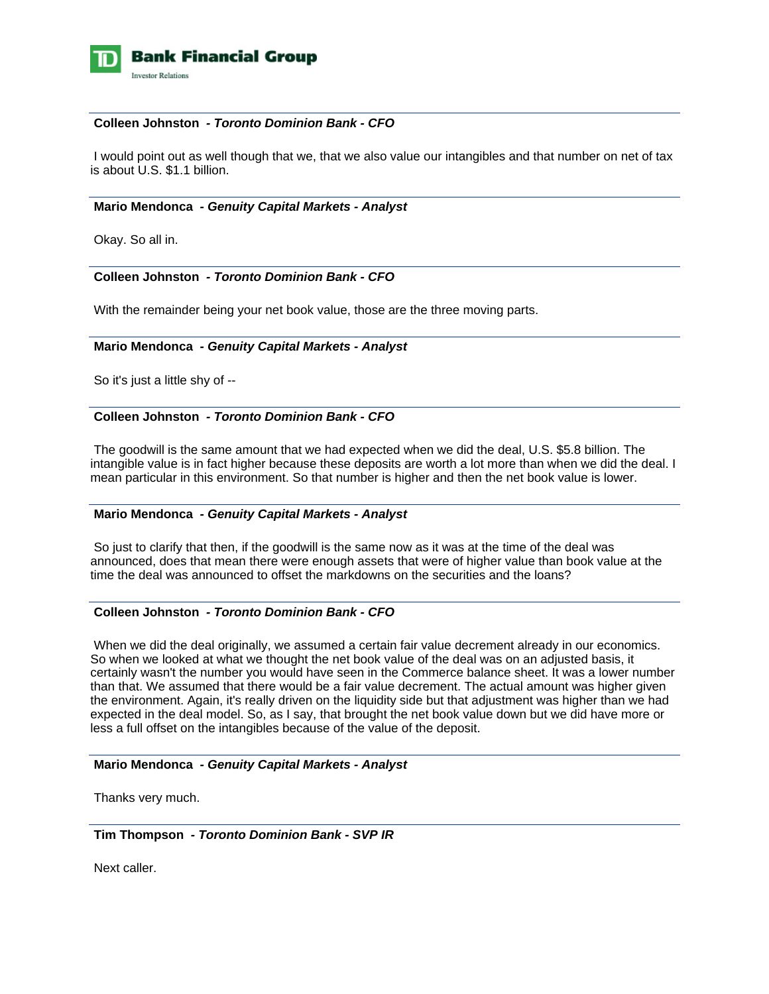

# **Colleen Johnston** *- Toronto Dominion Bank - CFO*

 I would point out as well though that we, that we also value our intangibles and that number on net of tax is about U.S. \$1.1 billion.

### **Mario Mendonca** *- Genuity Capital Markets - Analyst*

Okay. So all in.

# **Colleen Johnston** *- Toronto Dominion Bank - CFO*

With the remainder being your net book value, those are the three moving parts.

#### **Mario Mendonca** *- Genuity Capital Markets - Analyst*

So it's just a little shy of --

# **Colleen Johnston** *- Toronto Dominion Bank - CFO*

 The goodwill is the same amount that we had expected when we did the deal, U.S. \$5.8 billion. The intangible value is in fact higher because these deposits are worth a lot more than when we did the deal. I mean particular in this environment. So that number is higher and then the net book value is lower.

### **Mario Mendonca** *- Genuity Capital Markets - Analyst*

 So just to clarify that then, if the goodwill is the same now as it was at the time of the deal was announced, does that mean there were enough assets that were of higher value than book value at the time the deal was announced to offset the markdowns on the securities and the loans?

# **Colleen Johnston** *- Toronto Dominion Bank - CFO*

When we did the deal originally, we assumed a certain fair value decrement already in our economics. So when we looked at what we thought the net book value of the deal was on an adjusted basis, it certainly wasn't the number you would have seen in the Commerce balance sheet. It was a lower number than that. We assumed that there would be a fair value decrement. The actual amount was higher given the environment. Again, it's really driven on the liquidity side but that adjustment was higher than we had expected in the deal model. So, as I say, that brought the net book value down but we did have more or less a full offset on the intangibles because of the value of the deposit.

#### **Mario Mendonca** *- Genuity Capital Markets - Analyst*

Thanks very much.

 **Tim Thompson** *- Toronto Dominion Bank - SVP IR* 

Next caller.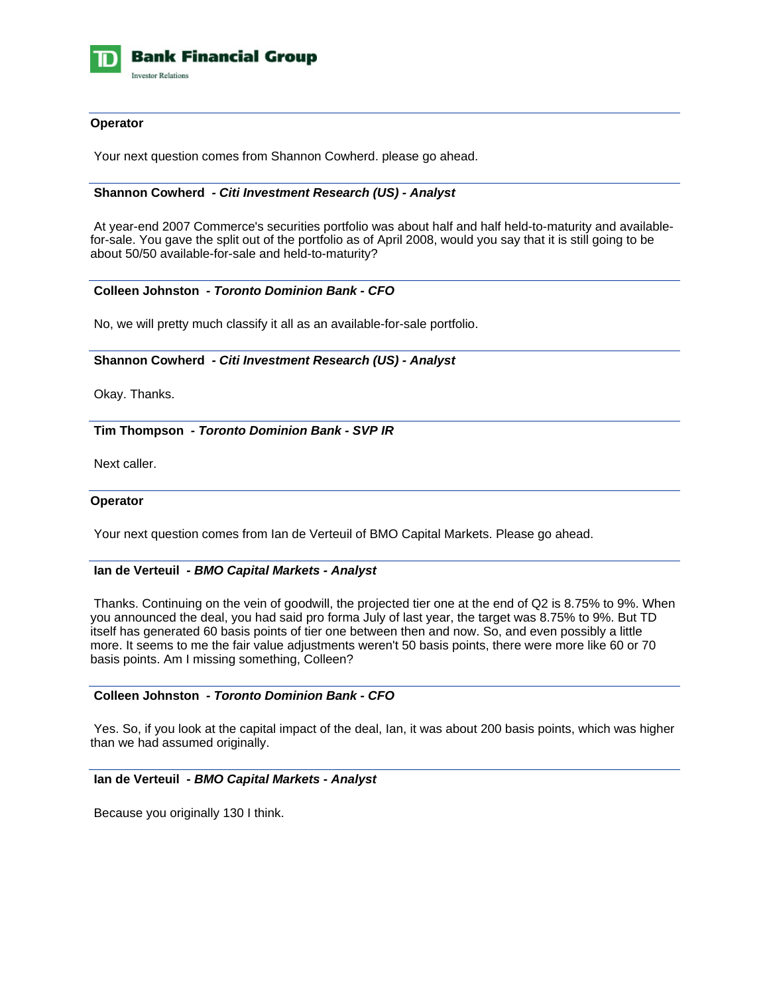

# **Operator**

Your next question comes from Shannon Cowherd. please go ahead.

# **Shannon Cowherd** *- Citi Investment Research (US) - Analyst*

 At year-end 2007 Commerce's securities portfolio was about half and half held-to-maturity and availablefor-sale. You gave the split out of the portfolio as of April 2008, would you say that it is still going to be about 50/50 available-for-sale and held-to-maturity?

# **Colleen Johnston** *- Toronto Dominion Bank - CFO*

No, we will pretty much classify it all as an available-for-sale portfolio.

# **Shannon Cowherd** *- Citi Investment Research (US) - Analyst*

Okay. Thanks.

 **Tim Thompson** *- Toronto Dominion Bank - SVP IR* 

Next caller.

#### **Operator**

Your next question comes from Ian de Verteuil of BMO Capital Markets. Please go ahead.

#### **Ian de Verteuil** *- BMO Capital Markets - Analyst*

 Thanks. Continuing on the vein of goodwill, the projected tier one at the end of Q2 is 8.75% to 9%. When you announced the deal, you had said pro forma July of last year, the target was 8.75% to 9%. But TD itself has generated 60 basis points of tier one between then and now. So, and even possibly a little more. It seems to me the fair value adjustments weren't 50 basis points, there were more like 60 or 70 basis points. Am I missing something, Colleen?

#### **Colleen Johnston** *- Toronto Dominion Bank - CFO*

 Yes. So, if you look at the capital impact of the deal, Ian, it was about 200 basis points, which was higher than we had assumed originally.

# **Ian de Verteuil** *- BMO Capital Markets - Analyst*

Because you originally 130 I think.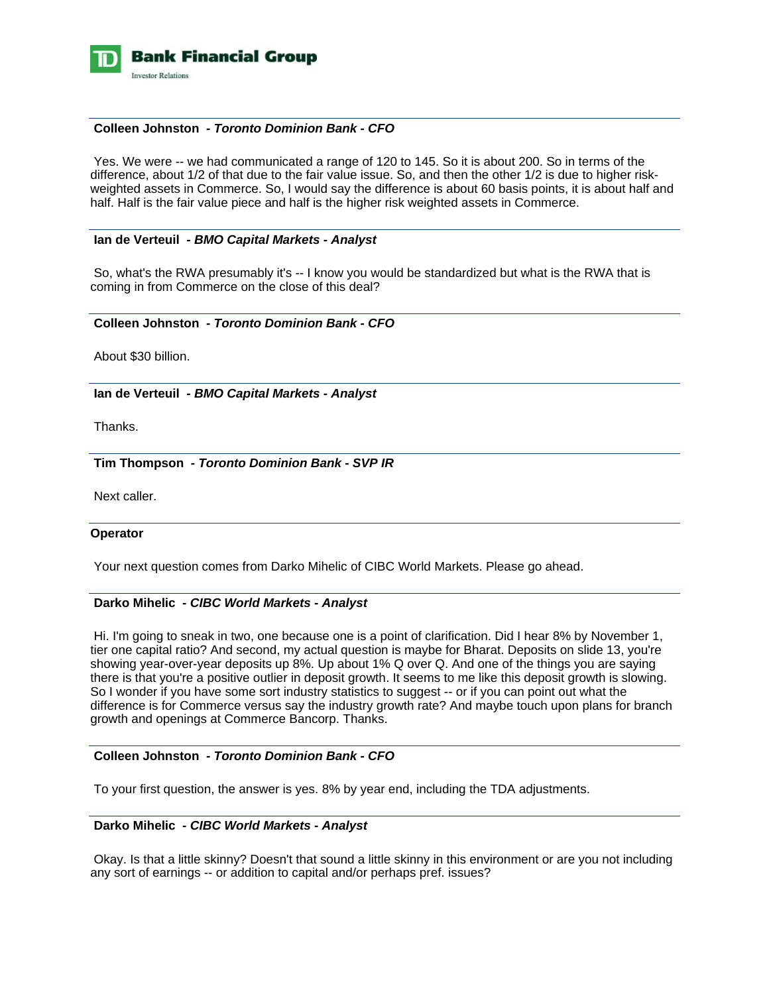

# **Colleen Johnston** *- Toronto Dominion Bank - CFO*

 Yes. We were -- we had communicated a range of 120 to 145. So it is about 200. So in terms of the difference, about 1/2 of that due to the fair value issue. So, and then the other 1/2 is due to higher riskweighted assets in Commerce. So, I would say the difference is about 60 basis points, it is about half and half. Half is the fair value piece and half is the higher risk weighted assets in Commerce.

#### **Ian de Verteuil** *- BMO Capital Markets - Analyst*

So, what's the RWA presumably it's -- I know you would be standardized but what is the RWA that is coming in from Commerce on the close of this deal?

#### **Colleen Johnston** *- Toronto Dominion Bank - CFO*

About \$30 billion.

# **Ian de Verteuil** *- BMO Capital Markets - Analyst*

Thanks.

 **Tim Thompson** *- Toronto Dominion Bank - SVP IR* 

Next caller.

#### **Operator**

Your next question comes from Darko Mihelic of CIBC World Markets. Please go ahead.

### **Darko Mihelic** *- CIBC World Markets - Analyst*

 Hi. I'm going to sneak in two, one because one is a point of clarification. Did I hear 8% by November 1, tier one capital ratio? And second, my actual question is maybe for Bharat. Deposits on slide 13, you're showing year-over-year deposits up 8%. Up about 1% Q over Q. And one of the things you are saying there is that you're a positive outlier in deposit growth. It seems to me like this deposit growth is slowing. So I wonder if you have some sort industry statistics to suggest -- or if you can point out what the difference is for Commerce versus say the industry growth rate? And maybe touch upon plans for branch growth and openings at Commerce Bancorp. Thanks.

#### **Colleen Johnston** *- Toronto Dominion Bank - CFO*

To your first question, the answer is yes. 8% by year end, including the TDA adjustments.

## **Darko Mihelic** *- CIBC World Markets - Analyst*

 Okay. Is that a little skinny? Doesn't that sound a little skinny in this environment or are you not including any sort of earnings -- or addition to capital and/or perhaps pref. issues?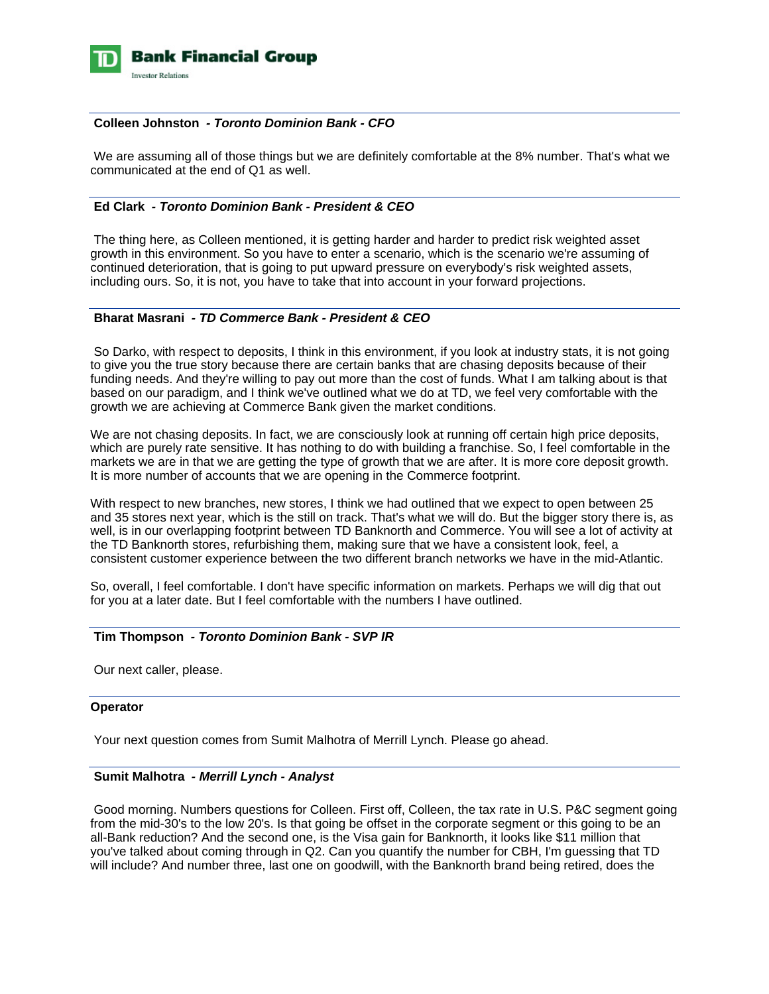

## **Colleen Johnston** *- Toronto Dominion Bank - CFO*

 We are assuming all of those things but we are definitely comfortable at the 8% number. That's what we communicated at the end of Q1 as well.

# **Ed Clark** *- Toronto Dominion Bank - President & CEO*

 The thing here, as Colleen mentioned, it is getting harder and harder to predict risk weighted asset growth in this environment. So you have to enter a scenario, which is the scenario we're assuming of continued deterioration, that is going to put upward pressure on everybody's risk weighted assets, including ours. So, it is not, you have to take that into account in your forward projections.

# **Bharat Masrani** *- TD Commerce Bank - President & CEO*

 So Darko, with respect to deposits, I think in this environment, if you look at industry stats, it is not going to give you the true story because there are certain banks that are chasing deposits because of their funding needs. And they're willing to pay out more than the cost of funds. What I am talking about is that based on our paradigm, and I think we've outlined what we do at TD, we feel very comfortable with the growth we are achieving at Commerce Bank given the market conditions.

We are not chasing deposits. In fact, we are consciously look at running off certain high price deposits, which are purely rate sensitive. It has nothing to do with building a franchise. So, I feel comfortable in the markets we are in that we are getting the type of growth that we are after. It is more core deposit growth. It is more number of accounts that we are opening in the Commerce footprint.

With respect to new branches, new stores, I think we had outlined that we expect to open between 25 and 35 stores next year, which is the still on track. That's what we will do. But the bigger story there is, as well, is in our overlapping footprint between TD Banknorth and Commerce. You will see a lot of activity at the TD Banknorth stores, refurbishing them, making sure that we have a consistent look, feel, a consistent customer experience between the two different branch networks we have in the mid-Atlantic.

So, overall, I feel comfortable. I don't have specific information on markets. Perhaps we will dig that out for you at a later date. But I feel comfortable with the numbers I have outlined.

#### **Tim Thompson** *- Toronto Dominion Bank - SVP IR*

Our next caller, please.

#### **Operator**

Your next question comes from Sumit Malhotra of Merrill Lynch. Please go ahead.

### **Sumit Malhotra** *- Merrill Lynch - Analyst*

 Good morning. Numbers questions for Colleen. First off, Colleen, the tax rate in U.S. P&C segment going from the mid-30's to the low 20's. Is that going be offset in the corporate segment or this going to be an all-Bank reduction? And the second one, is the Visa gain for Banknorth, it looks like \$11 million that you've talked about coming through in Q2. Can you quantify the number for CBH, I'm guessing that TD will include? And number three, last one on goodwill, with the Banknorth brand being retired, does the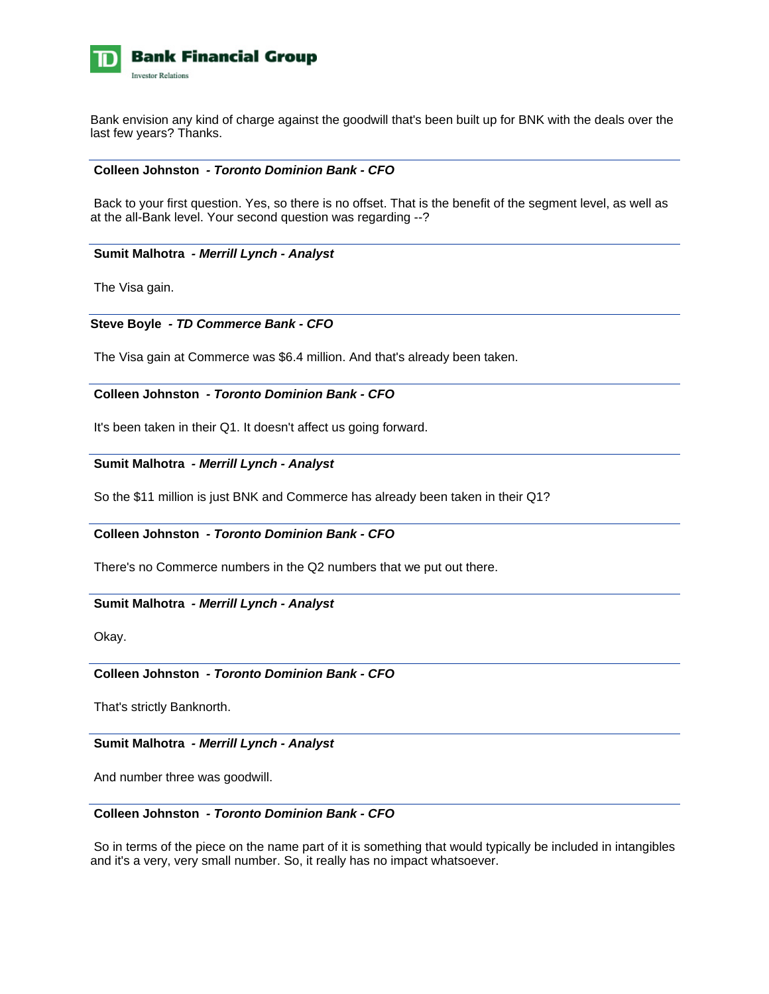

Bank envision any kind of charge against the goodwill that's been built up for BNK with the deals over the last few years? Thanks.

#### **Colleen Johnston** *- Toronto Dominion Bank - CFO*

 Back to your first question. Yes, so there is no offset. That is the benefit of the segment level, as well as at the all-Bank level. Your second question was regarding --?

#### **Sumit Malhotra** *- Merrill Lynch - Analyst*

The Visa gain.

# **Steve Boyle** *- TD Commerce Bank - CFO*

The Visa gain at Commerce was \$6.4 million. And that's already been taken.

# **Colleen Johnston** *- Toronto Dominion Bank - CFO*

It's been taken in their Q1. It doesn't affect us going forward.

# **Sumit Malhotra** *- Merrill Lynch - Analyst*

So the \$11 million is just BNK and Commerce has already been taken in their Q1?

# **Colleen Johnston** *- Toronto Dominion Bank - CFO*

There's no Commerce numbers in the Q2 numbers that we put out there.

# **Sumit Malhotra** *- Merrill Lynch - Analyst*

Okay.

# **Colleen Johnston** *- Toronto Dominion Bank - CFO*

That's strictly Banknorth.

### **Sumit Malhotra** *- Merrill Lynch - Analyst*

And number three was goodwill.

# **Colleen Johnston** *- Toronto Dominion Bank - CFO*

 So in terms of the piece on the name part of it is something that would typically be included in intangibles and it's a very, very small number. So, it really has no impact whatsoever.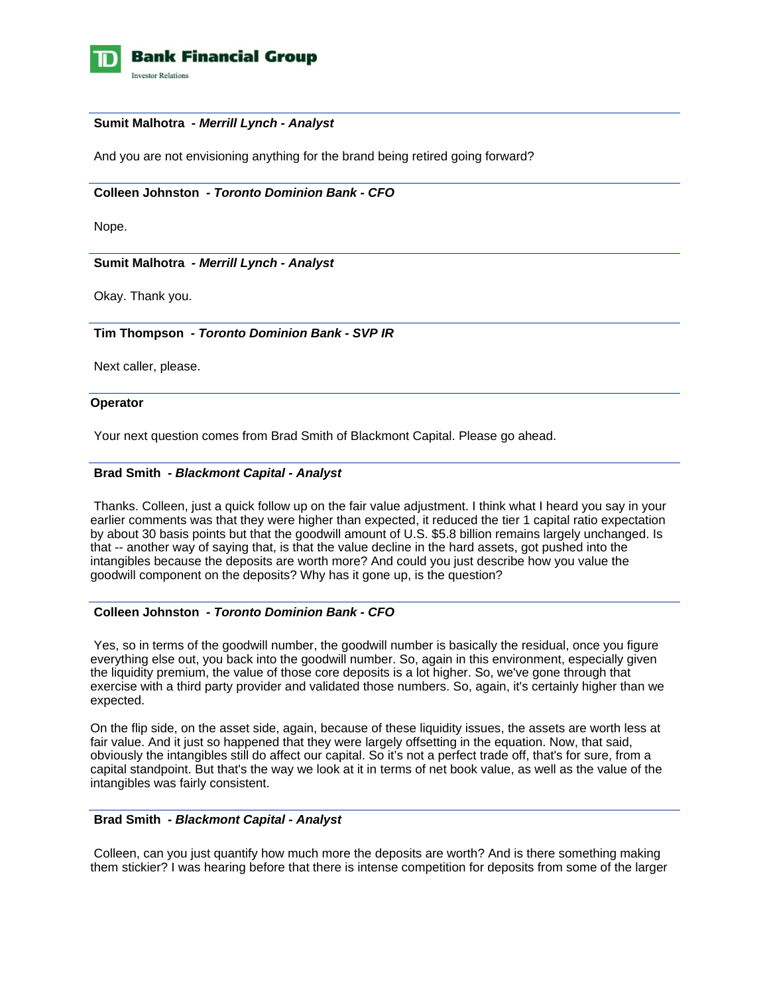

## **Sumit Malhotra** *- Merrill Lynch - Analyst*

And you are not envisioning anything for the brand being retired going forward?

# **Colleen Johnston** *- Toronto Dominion Bank - CFO*

Nope.

# **Sumit Malhotra** *- Merrill Lynch - Analyst*

Okay. Thank you.

# **Tim Thompson** *- Toronto Dominion Bank - SVP IR*

Next caller, please.

#### **Operator**

Your next question comes from Brad Smith of Blackmont Capital. Please go ahead.

# **Brad Smith** *- Blackmont Capital - Analyst*

 Thanks. Colleen, just a quick follow up on the fair value adjustment. I think what I heard you say in your earlier comments was that they were higher than expected, it reduced the tier 1 capital ratio expectation by about 30 basis points but that the goodwill amount of U.S. \$5.8 billion remains largely unchanged. Is that -- another way of saying that, is that the value decline in the hard assets, got pushed into the intangibles because the deposits are worth more? And could you just describe how you value the goodwill component on the deposits? Why has it gone up, is the question?

#### **Colleen Johnston** *- Toronto Dominion Bank - CFO*

 Yes, so in terms of the goodwill number, the goodwill number is basically the residual, once you figure everything else out, you back into the goodwill number. So, again in this environment, especially given the liquidity premium, the value of those core deposits is a lot higher. So, we've gone through that exercise with a third party provider and validated those numbers. So, again, it's certainly higher than we expected.

On the flip side, on the asset side, again, because of these liquidity issues, the assets are worth less at fair value. And it just so happened that they were largely offsetting in the equation. Now, that said, obviously the intangibles still do affect our capital. So it's not a perfect trade off, that's for sure, from a capital standpoint. But that's the way we look at it in terms of net book value, as well as the value of the intangibles was fairly consistent.

### **Brad Smith** *- Blackmont Capital - Analyst*

 Colleen, can you just quantify how much more the deposits are worth? And is there something making them stickier? I was hearing before that there is intense competition for deposits from some of the larger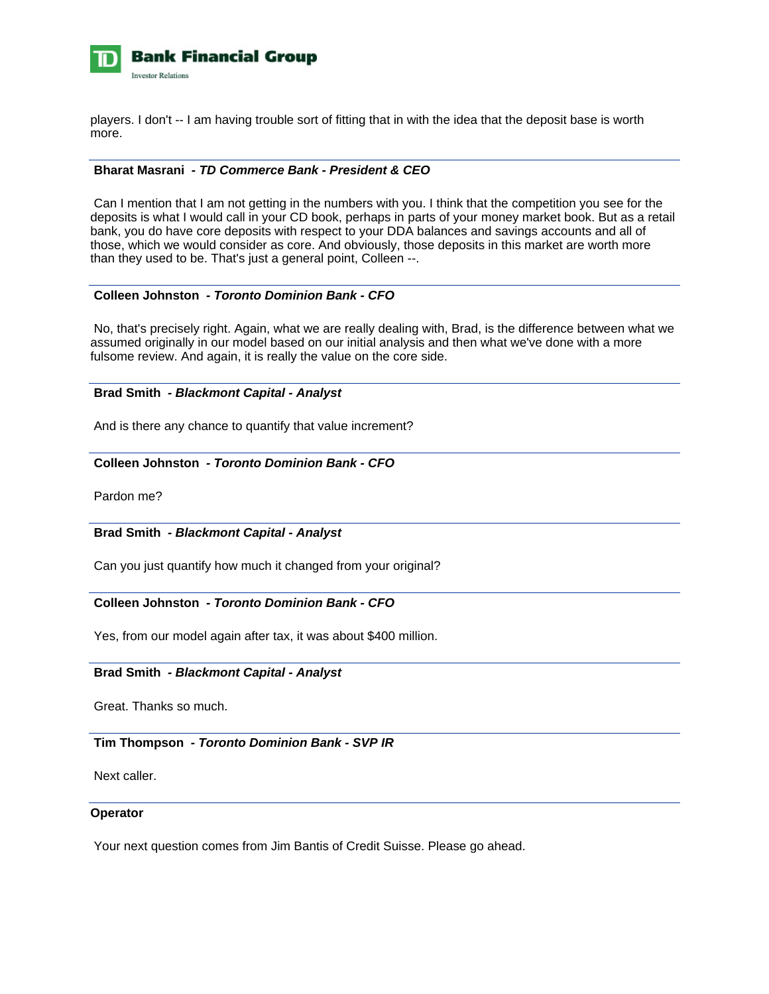

players. I don't -- I am having trouble sort of fitting that in with the idea that the deposit base is worth more.

# **Bharat Masrani** *- TD Commerce Bank - President & CEO*

 Can I mention that I am not getting in the numbers with you. I think that the competition you see for the deposits is what I would call in your CD book, perhaps in parts of your money market book. But as a retail bank, you do have core deposits with respect to your DDA balances and savings accounts and all of those, which we would consider as core. And obviously, those deposits in this market are worth more than they used to be. That's just a general point, Colleen --.

#### **Colleen Johnston** *- Toronto Dominion Bank - CFO*

 No, that's precisely right. Again, what we are really dealing with, Brad, is the difference between what we assumed originally in our model based on our initial analysis and then what we've done with a more fulsome review. And again, it is really the value on the core side.

# **Brad Smith** *- Blackmont Capital - Analyst*

And is there any chance to quantify that value increment?

# **Colleen Johnston** *- Toronto Dominion Bank - CFO*

Pardon me?

#### **Brad Smith** *- Blackmont Capital - Analyst*

Can you just quantify how much it changed from your original?

### **Colleen Johnston** *- Toronto Dominion Bank - CFO*

Yes, from our model again after tax, it was about \$400 million.

#### **Brad Smith** *- Blackmont Capital - Analyst*

Great. Thanks so much.

### **Tim Thompson** *- Toronto Dominion Bank - SVP IR*

Next caller.

#### **Operator**

Your next question comes from Jim Bantis of Credit Suisse. Please go ahead.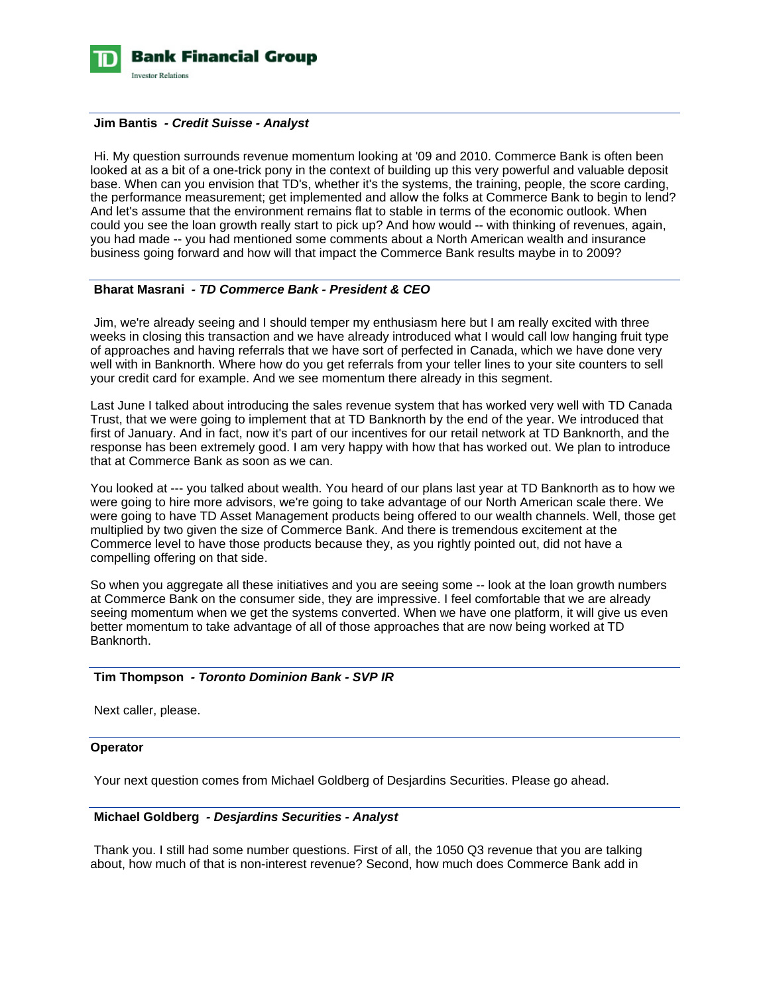

#### **Jim Bantis** *- Credit Suisse - Analyst*

 Hi. My question surrounds revenue momentum looking at '09 and 2010. Commerce Bank is often been looked at as a bit of a one-trick pony in the context of building up this very powerful and valuable deposit base. When can you envision that TD's, whether it's the systems, the training, people, the score carding, the performance measurement; get implemented and allow the folks at Commerce Bank to begin to lend? And let's assume that the environment remains flat to stable in terms of the economic outlook. When could you see the loan growth really start to pick up? And how would -- with thinking of revenues, again, you had made -- you had mentioned some comments about a North American wealth and insurance business going forward and how will that impact the Commerce Bank results maybe in to 2009?

# **Bharat Masrani** *- TD Commerce Bank - President & CEO*

 Jim, we're already seeing and I should temper my enthusiasm here but I am really excited with three weeks in closing this transaction and we have already introduced what I would call low hanging fruit type of approaches and having referrals that we have sort of perfected in Canada, which we have done very well with in Banknorth. Where how do you get referrals from your teller lines to your site counters to sell your credit card for example. And we see momentum there already in this segment.

Last June I talked about introducing the sales revenue system that has worked very well with TD Canada Trust, that we were going to implement that at TD Banknorth by the end of the year. We introduced that first of January. And in fact, now it's part of our incentives for our retail network at TD Banknorth, and the response has been extremely good. I am very happy with how that has worked out. We plan to introduce that at Commerce Bank as soon as we can.

You looked at --- you talked about wealth. You heard of our plans last year at TD Banknorth as to how we were going to hire more advisors, we're going to take advantage of our North American scale there. We were going to have TD Asset Management products being offered to our wealth channels. Well, those get multiplied by two given the size of Commerce Bank. And there is tremendous excitement at the Commerce level to have those products because they, as you rightly pointed out, did not have a compelling offering on that side.

So when you aggregate all these initiatives and you are seeing some -- look at the loan growth numbers at Commerce Bank on the consumer side, they are impressive. I feel comfortable that we are already seeing momentum when we get the systems converted. When we have one platform, it will give us even better momentum to take advantage of all of those approaches that are now being worked at TD Banknorth.

# **Tim Thompson** *- Toronto Dominion Bank - SVP IR*

Next caller, please.

### **Operator**

Your next question comes from Michael Goldberg of Desjardins Securities. Please go ahead.

# **Michael Goldberg** *- Desjardins Securities - Analyst*

 Thank you. I still had some number questions. First of all, the 1050 Q3 revenue that you are talking about, how much of that is non-interest revenue? Second, how much does Commerce Bank add in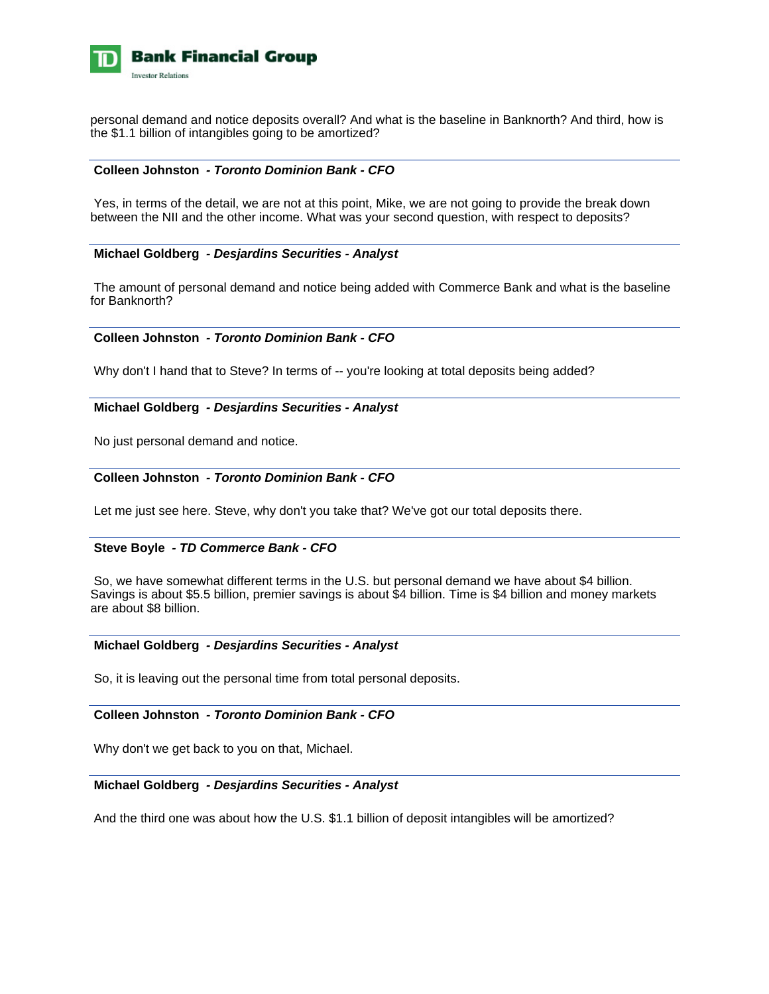

personal demand and notice deposits overall? And what is the baseline in Banknorth? And third, how is the \$1.1 billion of intangibles going to be amortized?

#### **Colleen Johnston** *- Toronto Dominion Bank - CFO*

 Yes, in terms of the detail, we are not at this point, Mike, we are not going to provide the break down between the NII and the other income. What was your second question, with respect to deposits?

#### **Michael Goldberg** *- Desjardins Securities - Analyst*

 The amount of personal demand and notice being added with Commerce Bank and what is the baseline for Banknorth?

#### **Colleen Johnston** *- Toronto Dominion Bank - CFO*

Why don't I hand that to Steve? In terms of -- you're looking at total deposits being added?

#### **Michael Goldberg** *- Desjardins Securities - Analyst*

No just personal demand and notice.

# **Colleen Johnston** *- Toronto Dominion Bank - CFO*

Let me just see here. Steve, why don't you take that? We've got our total deposits there.

#### **Steve Boyle** *- TD Commerce Bank - CFO*

 So, we have somewhat different terms in the U.S. but personal demand we have about \$4 billion. Savings is about \$5.5 billion, premier savings is about \$4 billion. Time is \$4 billion and money markets are about \$8 billion.

# **Michael Goldberg** *- Desjardins Securities - Analyst*

So, it is leaving out the personal time from total personal deposits.

# **Colleen Johnston** *- Toronto Dominion Bank - CFO*

Why don't we get back to you on that, Michael.

#### **Michael Goldberg** *- Desjardins Securities - Analyst*

And the third one was about how the U.S. \$1.1 billion of deposit intangibles will be amortized?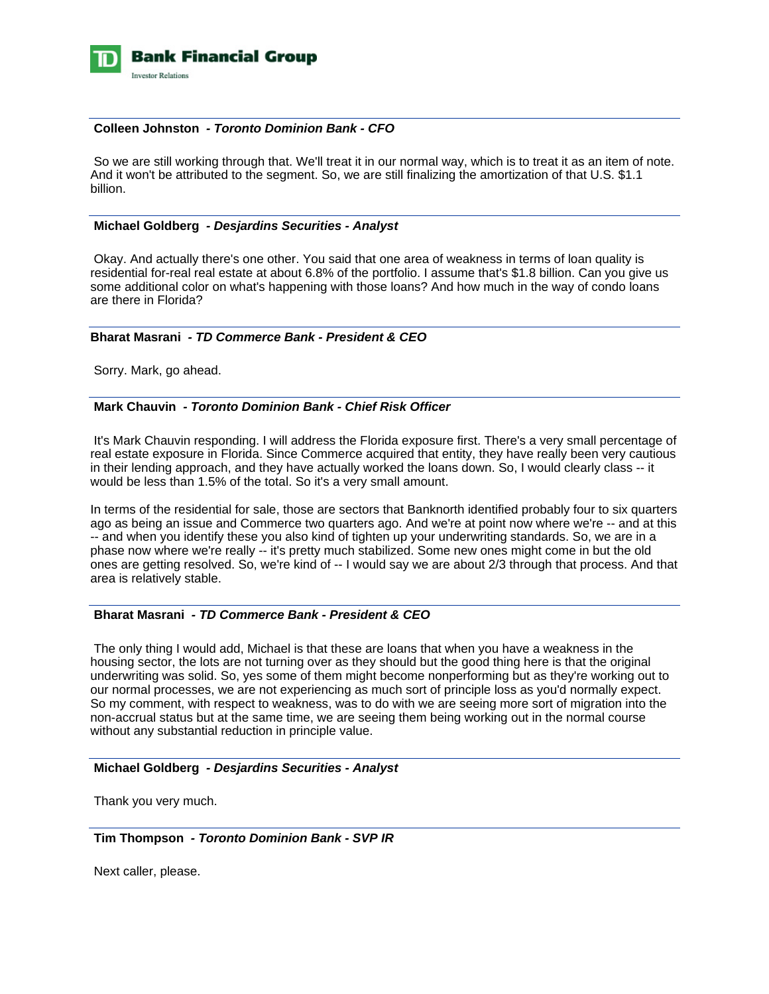

# **Colleen Johnston** *- Toronto Dominion Bank - CFO*

 So we are still working through that. We'll treat it in our normal way, which is to treat it as an item of note. And it won't be attributed to the segment. So, we are still finalizing the amortization of that U.S. \$1.1 billion.

#### **Michael Goldberg** *- Desjardins Securities - Analyst*

 Okay. And actually there's one other. You said that one area of weakness in terms of loan quality is residential for-real real estate at about 6.8% of the portfolio. I assume that's \$1.8 billion. Can you give us some additional color on what's happening with those loans? And how much in the way of condo loans are there in Florida?

#### **Bharat Masrani** *- TD Commerce Bank - President & CEO*

Sorry. Mark, go ahead.

# **Mark Chauvin** *- Toronto Dominion Bank - Chief Risk Officer*

 It's Mark Chauvin responding. I will address the Florida exposure first. There's a very small percentage of real estate exposure in Florida. Since Commerce acquired that entity, they have really been very cautious in their lending approach, and they have actually worked the loans down. So, I would clearly class -- it would be less than 1.5% of the total. So it's a very small amount.

In terms of the residential for sale, those are sectors that Banknorth identified probably four to six quarters ago as being an issue and Commerce two quarters ago. And we're at point now where we're -- and at this -- and when you identify these you also kind of tighten up your underwriting standards. So, we are in a phase now where we're really -- it's pretty much stabilized. Some new ones might come in but the old ones are getting resolved. So, we're kind of -- I would say we are about 2/3 through that process. And that area is relatively stable.

# **Bharat Masrani** *- TD Commerce Bank - President & CEO*

 The only thing I would add, Michael is that these are loans that when you have a weakness in the housing sector, the lots are not turning over as they should but the good thing here is that the original underwriting was solid. So, yes some of them might become nonperforming but as they're working out to our normal processes, we are not experiencing as much sort of principle loss as you'd normally expect. So my comment, with respect to weakness, was to do with we are seeing more sort of migration into the non-accrual status but at the same time, we are seeing them being working out in the normal course without any substantial reduction in principle value.

# **Michael Goldberg** *- Desjardins Securities - Analyst*

Thank you very much.

 **Tim Thompson** *- Toronto Dominion Bank - SVP IR* 

Next caller, please.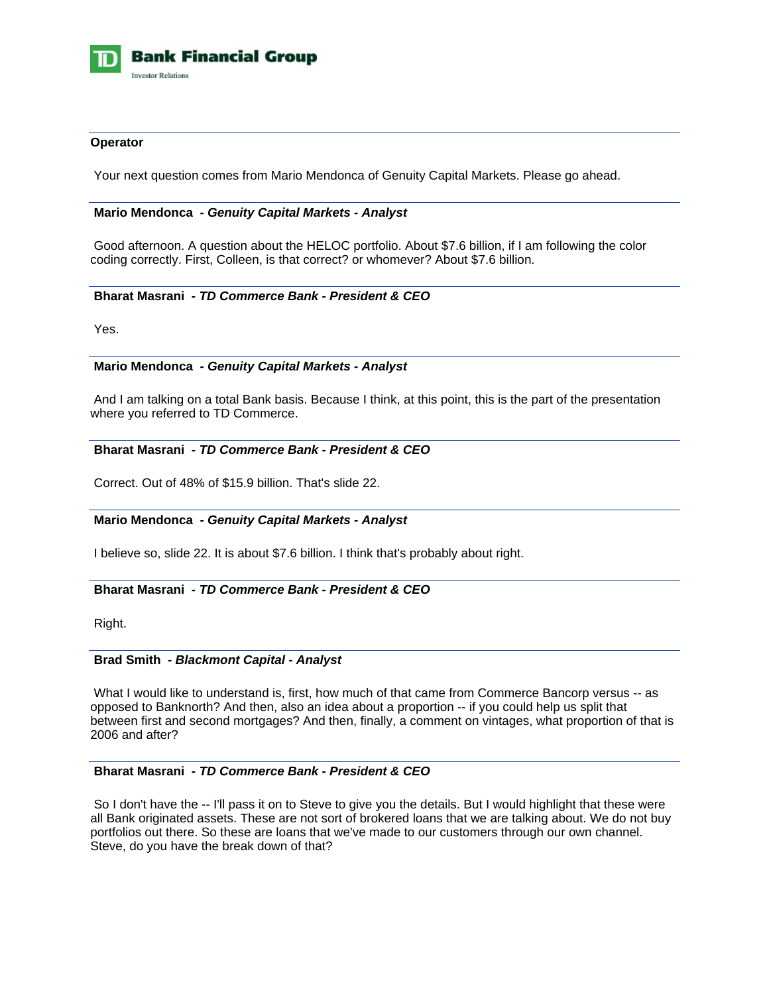

### **Operator**

Your next question comes from Mario Mendonca of Genuity Capital Markets. Please go ahead.

#### **Mario Mendonca** *- Genuity Capital Markets - Analyst*

 Good afternoon. A question about the HELOC portfolio. About \$7.6 billion, if I am following the color coding correctly. First, Colleen, is that correct? or whomever? About \$7.6 billion.

#### **Bharat Masrani** *- TD Commerce Bank - President & CEO*

Yes.

# **Mario Mendonca** *- Genuity Capital Markets - Analyst*

 And I am talking on a total Bank basis. Because I think, at this point, this is the part of the presentation where you referred to TD Commerce.

#### **Bharat Masrani** *- TD Commerce Bank - President & CEO*

Correct. Out of 48% of \$15.9 billion. That's slide 22.

#### **Mario Mendonca** *- Genuity Capital Markets - Analyst*

I believe so, slide 22. It is about \$7.6 billion. I think that's probably about right.

# **Bharat Masrani** *- TD Commerce Bank - President & CEO*

Right.

# **Brad Smith** *- Blackmont Capital - Analyst*

 What I would like to understand is, first, how much of that came from Commerce Bancorp versus -- as opposed to Banknorth? And then, also an idea about a proportion -- if you could help us split that between first and second mortgages? And then, finally, a comment on vintages, what proportion of that is 2006 and after?

#### **Bharat Masrani** *- TD Commerce Bank - President & CEO*

 So I don't have the -- I'll pass it on to Steve to give you the details. But I would highlight that these were all Bank originated assets. These are not sort of brokered loans that we are talking about. We do not buy portfolios out there. So these are loans that we've made to our customers through our own channel. Steve, do you have the break down of that?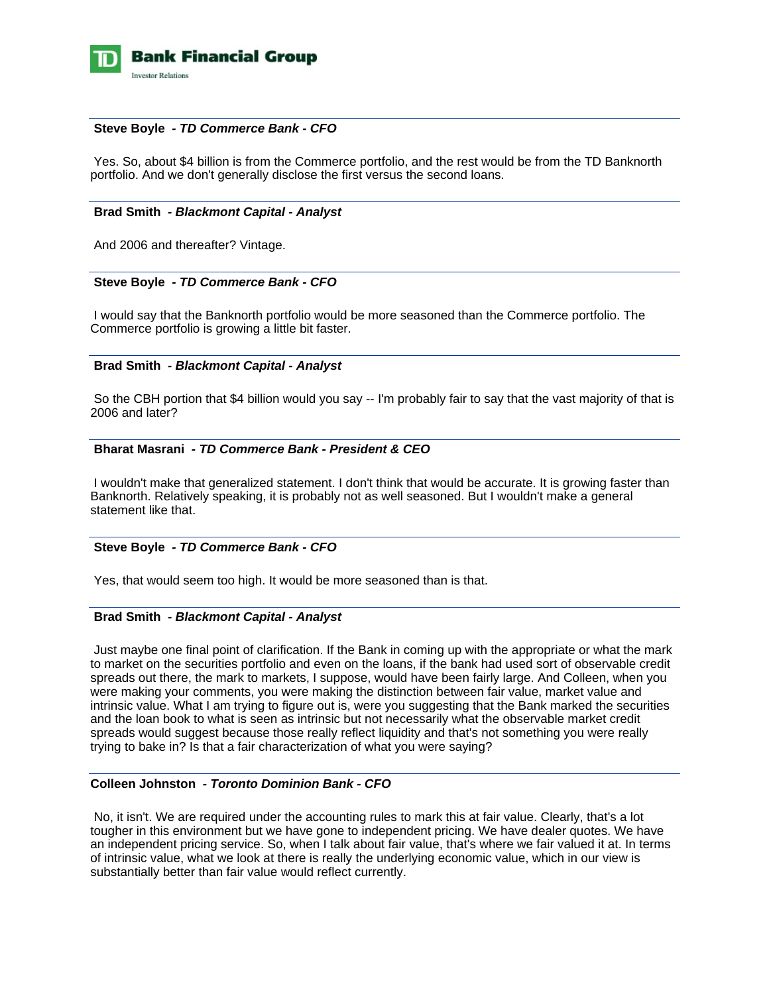

# **Steve Boyle** *- TD Commerce Bank - CFO*

 Yes. So, about \$4 billion is from the Commerce portfolio, and the rest would be from the TD Banknorth portfolio. And we don't generally disclose the first versus the second loans.

# **Brad Smith** *- Blackmont Capital - Analyst*

And 2006 and thereafter? Vintage.

# **Steve Boyle** *- TD Commerce Bank - CFO*

 I would say that the Banknorth portfolio would be more seasoned than the Commerce portfolio. The Commerce portfolio is growing a little bit faster.

# **Brad Smith** *- Blackmont Capital - Analyst*

 So the CBH portion that \$4 billion would you say -- I'm probably fair to say that the vast majority of that is 2006 and later?

# **Bharat Masrani** *- TD Commerce Bank - President & CEO*

 I wouldn't make that generalized statement. I don't think that would be accurate. It is growing faster than Banknorth. Relatively speaking, it is probably not as well seasoned. But I wouldn't make a general statement like that.

#### **Steve Boyle** *- TD Commerce Bank - CFO*

Yes, that would seem too high. It would be more seasoned than is that.

#### **Brad Smith** *- Blackmont Capital - Analyst*

 Just maybe one final point of clarification. If the Bank in coming up with the appropriate or what the mark to market on the securities portfolio and even on the loans, if the bank had used sort of observable credit spreads out there, the mark to markets, I suppose, would have been fairly large. And Colleen, when you were making your comments, you were making the distinction between fair value, market value and intrinsic value. What I am trying to figure out is, were you suggesting that the Bank marked the securities and the loan book to what is seen as intrinsic but not necessarily what the observable market credit spreads would suggest because those really reflect liquidity and that's not something you were really trying to bake in? Is that a fair characterization of what you were saying?

# **Colleen Johnston** *- Toronto Dominion Bank - CFO*

 No, it isn't. We are required under the accounting rules to mark this at fair value. Clearly, that's a lot tougher in this environment but we have gone to independent pricing. We have dealer quotes. We have an independent pricing service. So, when I talk about fair value, that's where we fair valued it at. In terms of intrinsic value, what we look at there is really the underlying economic value, which in our view is substantially better than fair value would reflect currently.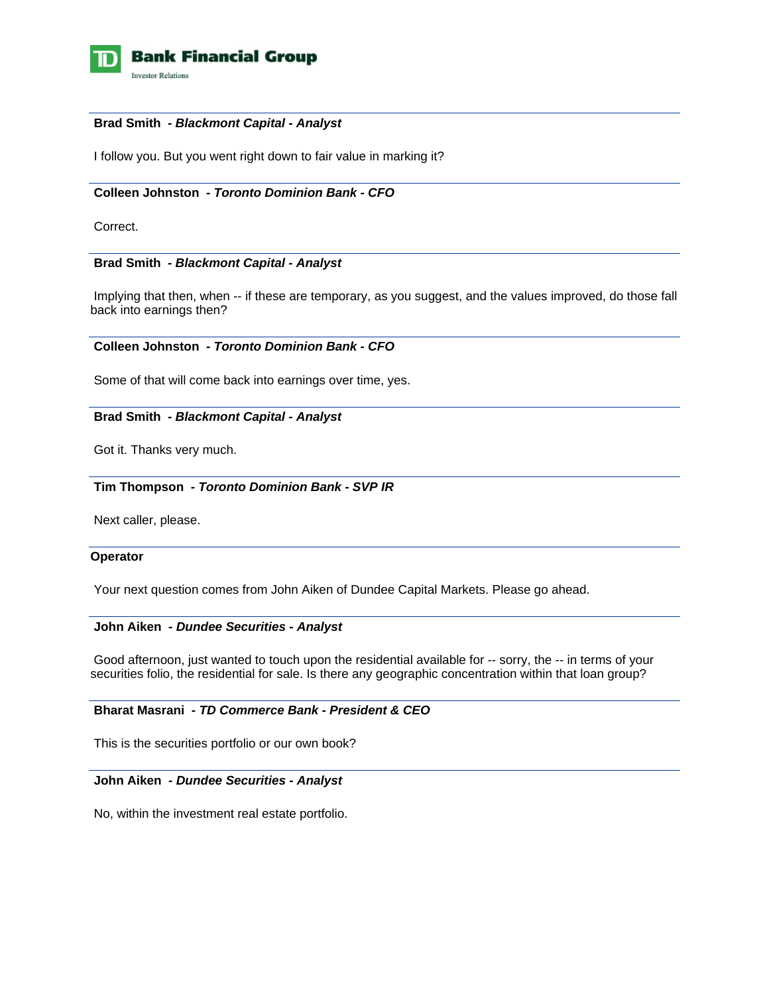

### **Brad Smith** *- Blackmont Capital - Analyst*

I follow you. But you went right down to fair value in marking it?

# **Colleen Johnston** *- Toronto Dominion Bank - CFO*

Correct.

# **Brad Smith** *- Blackmont Capital - Analyst*

 Implying that then, when -- if these are temporary, as you suggest, and the values improved, do those fall back into earnings then?

# **Colleen Johnston** *- Toronto Dominion Bank - CFO*

Some of that will come back into earnings over time, yes.

# **Brad Smith** *- Blackmont Capital - Analyst*

Got it. Thanks very much.

#### **Tim Thompson** *- Toronto Dominion Bank - SVP IR*

Next caller, please.

#### **Operator**

Your next question comes from John Aiken of Dundee Capital Markets. Please go ahead.

#### **John Aiken** *- Dundee Securities - Analyst*

 Good afternoon, just wanted to touch upon the residential available for -- sorry, the -- in terms of your securities folio, the residential for sale. Is there any geographic concentration within that loan group?

# **Bharat Masrani** *- TD Commerce Bank - President & CEO*

This is the securities portfolio or our own book?

# **John Aiken** *- Dundee Securities - Analyst*

No, within the investment real estate portfolio.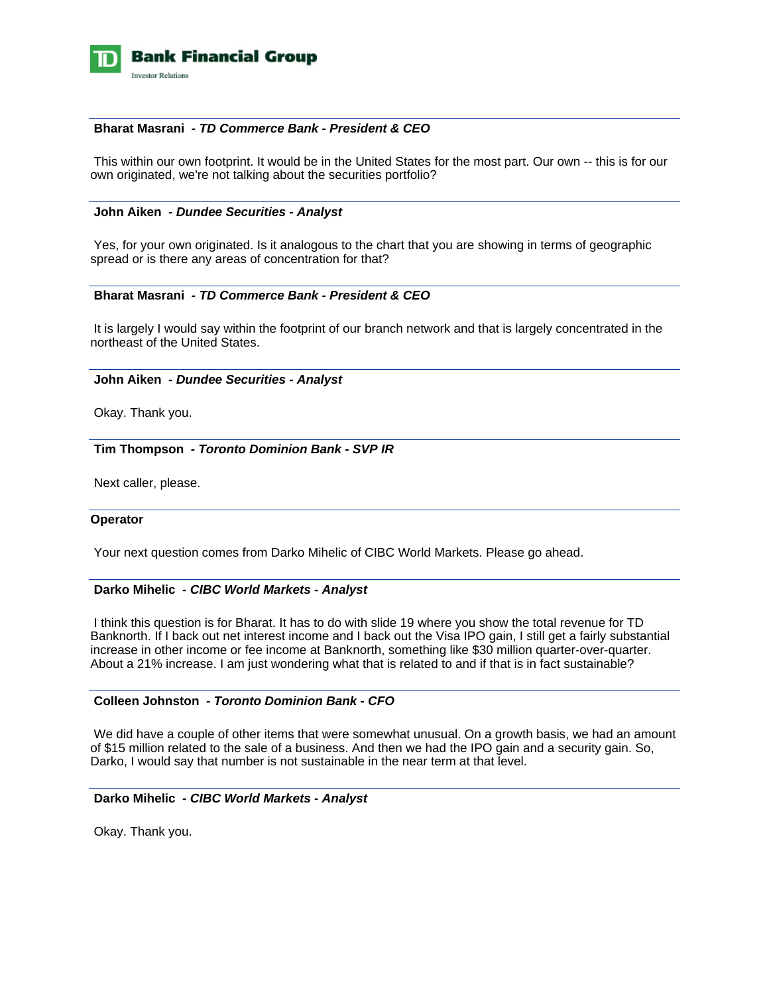

# **Bharat Masrani** *- TD Commerce Bank - President & CEO*

 This within our own footprint. It would be in the United States for the most part. Our own -- this is for our own originated, we're not talking about the securities portfolio?

#### **John Aiken** *- Dundee Securities - Analyst*

 Yes, for your own originated. Is it analogous to the chart that you are showing in terms of geographic spread or is there any areas of concentration for that?

#### **Bharat Masrani** *- TD Commerce Bank - President & CEO*

 It is largely I would say within the footprint of our branch network and that is largely concentrated in the northeast of the United States.

#### **John Aiken** *- Dundee Securities - Analyst*

Okay. Thank you.

 **Tim Thompson** *- Toronto Dominion Bank - SVP IR* 

Next caller, please.

#### **Operator**

Your next question comes from Darko Mihelic of CIBC World Markets. Please go ahead.

### **Darko Mihelic** *- CIBC World Markets - Analyst*

 I think this question is for Bharat. It has to do with slide 19 where you show the total revenue for TD Banknorth. If I back out net interest income and I back out the Visa IPO gain, I still get a fairly substantial increase in other income or fee income at Banknorth, something like \$30 million quarter-over-quarter. About a 21% increase. I am just wondering what that is related to and if that is in fact sustainable?

# **Colleen Johnston** *- Toronto Dominion Bank - CFO*

 We did have a couple of other items that were somewhat unusual. On a growth basis, we had an amount of \$15 million related to the sale of a business. And then we had the IPO gain and a security gain. So, Darko, I would say that number is not sustainable in the near term at that level.

#### **Darko Mihelic** *- CIBC World Markets - Analyst*

Okay. Thank you.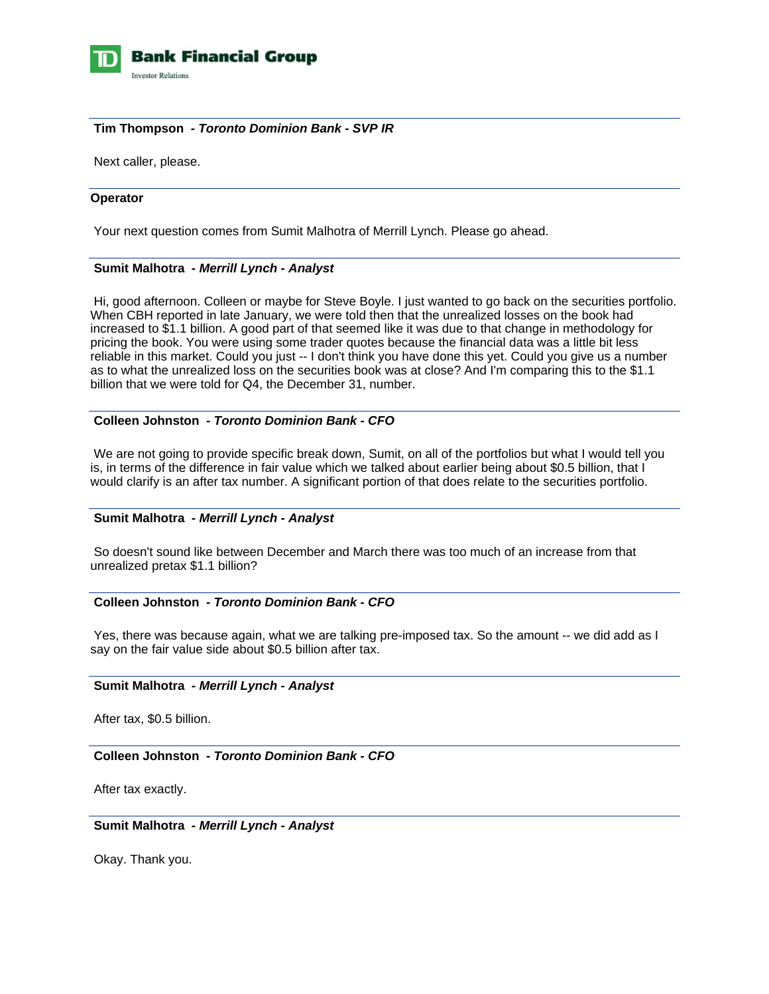

# **Tim Thompson** *- Toronto Dominion Bank - SVP IR*

Next caller, please.

#### **Operator**

Your next question comes from Sumit Malhotra of Merrill Lynch. Please go ahead.

# **Sumit Malhotra** *- Merrill Lynch - Analyst*

 Hi, good afternoon. Colleen or maybe for Steve Boyle. I just wanted to go back on the securities portfolio. When CBH reported in late January, we were told then that the unrealized losses on the book had increased to \$1.1 billion. A good part of that seemed like it was due to that change in methodology for pricing the book. You were using some trader quotes because the financial data was a little bit less reliable in this market. Could you just -- I don't think you have done this yet. Could you give us a number as to what the unrealized loss on the securities book was at close? And I'm comparing this to the \$1.1 billion that we were told for Q4, the December 31, number.

# **Colleen Johnston** *- Toronto Dominion Bank - CFO*

We are not going to provide specific break down, Sumit, on all of the portfolios but what I would tell you is, in terms of the difference in fair value which we talked about earlier being about \$0.5 billion, that I would clarify is an after tax number. A significant portion of that does relate to the securities portfolio.

#### **Sumit Malhotra** *- Merrill Lynch - Analyst*

 So doesn't sound like between December and March there was too much of an increase from that unrealized pretax \$1.1 billion?

# **Colleen Johnston** *- Toronto Dominion Bank - CFO*

 Yes, there was because again, what we are talking pre-imposed tax. So the amount -- we did add as I say on the fair value side about \$0.5 billion after tax.

### **Sumit Malhotra** *- Merrill Lynch - Analyst*

After tax, \$0.5 billion.

 **Colleen Johnston** *- Toronto Dominion Bank - CFO* 

After tax exactly.

 **Sumit Malhotra** *- Merrill Lynch - Analyst* 

Okay. Thank you.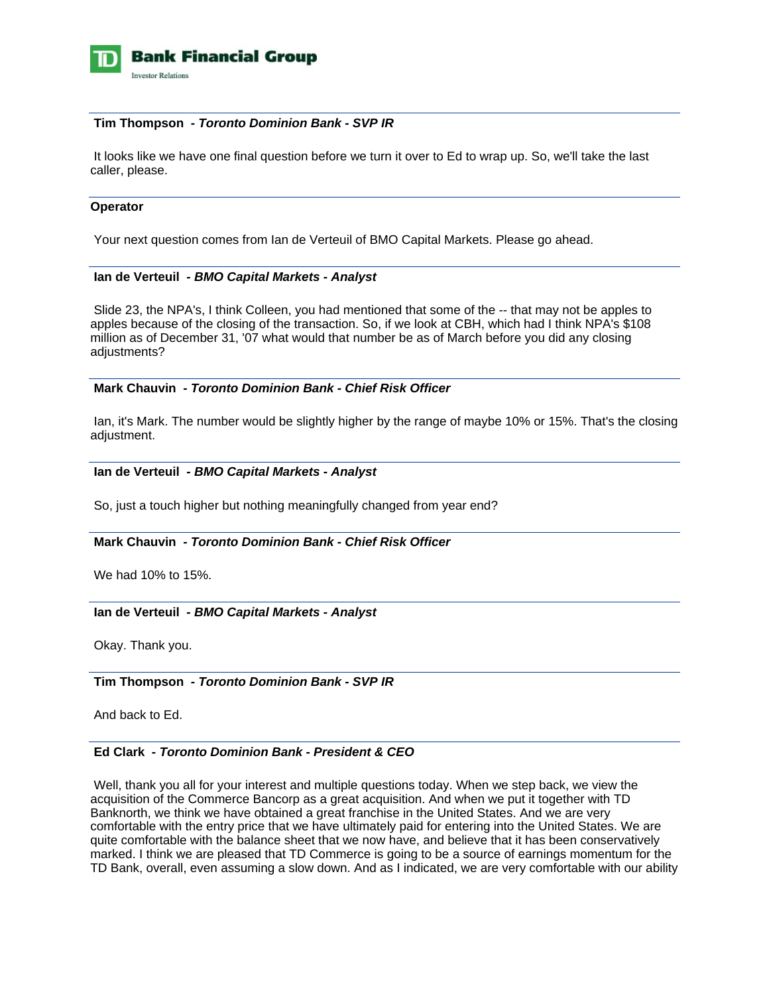

### **Tim Thompson** *- Toronto Dominion Bank - SVP IR*

 It looks like we have one final question before we turn it over to Ed to wrap up. So, we'll take the last caller, please.

# **Operator**

Your next question comes from Ian de Verteuil of BMO Capital Markets. Please go ahead.

# **Ian de Verteuil** *- BMO Capital Markets - Analyst*

 Slide 23, the NPA's, I think Colleen, you had mentioned that some of the -- that may not be apples to apples because of the closing of the transaction. So, if we look at CBH, which had I think NPA's \$108 million as of December 31, '07 what would that number be as of March before you did any closing adjustments?

# **Mark Chauvin** *- Toronto Dominion Bank - Chief Risk Officer*

 Ian, it's Mark. The number would be slightly higher by the range of maybe 10% or 15%. That's the closing adjustment.

# **Ian de Verteuil** *- BMO Capital Markets - Analyst*

So, just a touch higher but nothing meaningfully changed from year end?

# **Mark Chauvin** *- Toronto Dominion Bank - Chief Risk Officer*

We had 10% to 15%.

#### **Ian de Verteuil** *- BMO Capital Markets - Analyst*

Okay. Thank you.

#### **Tim Thompson** *- Toronto Dominion Bank - SVP IR*

And back to Ed.

#### **Ed Clark** *- Toronto Dominion Bank - President & CEO*

 Well, thank you all for your interest and multiple questions today. When we step back, we view the acquisition of the Commerce Bancorp as a great acquisition. And when we put it together with TD Banknorth, we think we have obtained a great franchise in the United States. And we are very comfortable with the entry price that we have ultimately paid for entering into the United States. We are quite comfortable with the balance sheet that we now have, and believe that it has been conservatively marked. I think we are pleased that TD Commerce is going to be a source of earnings momentum for the TD Bank, overall, even assuming a slow down. And as I indicated, we are very comfortable with our ability